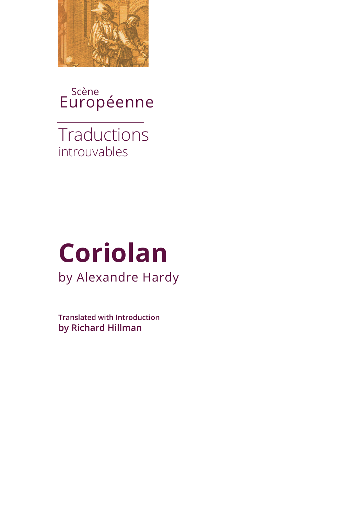

Scène Européenne

introuvables **Traductions** 

# **Coriolan** by Alexandre Hardy

**Translated with Introduction by Richard Hillman**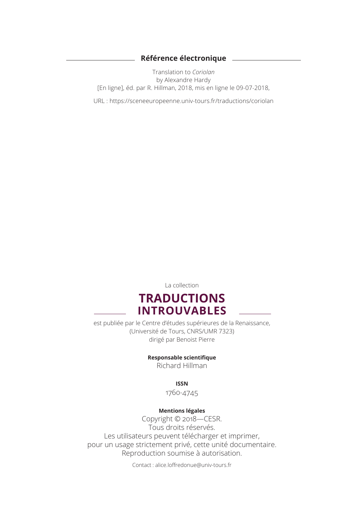#### **Référence électronique**

 $\sim$ 

Translation to *Coriolan* by Alexandre Hardy [En ligne], éd. par R. Hillman, 2018, mis en ligne le 09-07-2018,

URL : https://sceneeuropeenne.univ-tours.fr/traductions/coriolan

La collection

## **TRADUCTIONS INTROUVABLES**

est publiée par le Centre d'études supérieures de la Renaissance, (Université de Tours, CNRS/UMR 7323) dirigé par Benoist Pierre

**Responsable scientifique** 

Richard Hillman

**ISSN** 

1760-4745

#### **Mentions légales**

Copyright © 2018—CESR. Tous droits réservés. Les utilisateurs peuvent télécharger et imprimer, pour un usage strictement privé, cette unité documentaire. Reproduction soumise à autorisation.

Contact : alice.loffredonue@univ-tours.fr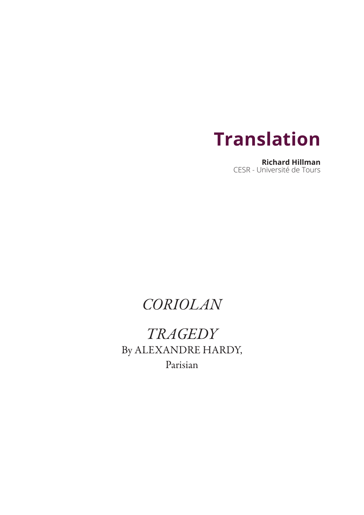

**Richard Hillman** CESR - Université de Tours

## *CORIOLAN*

*TRAGEDY* By ALEXANDRE HARDY, Parisian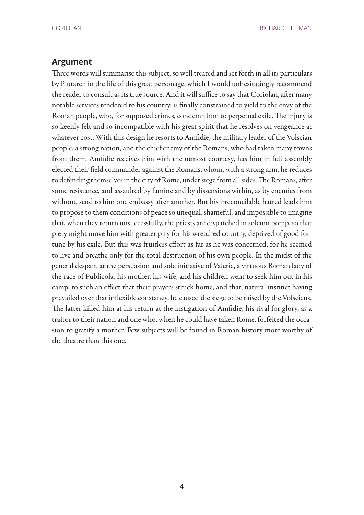CORIOLAN RICHARD HILLMAN

#### **Argument**

Three words will summarise this subject, so well treated and set forth in all its particulars by Plutarch in the life of this great personage, which I would unhesitatingly recommend the reader to consult as its true source. And it will suffice to say that Coriolan, after many notable services rendered to his country, is finally constrained to yield to the envy of the Roman people, who, for supposed crimes, condemn him to perpetual exile. The injury is so keenly felt and so incompatible with his great spirit that he resolves on vengeance at whatever cost. With this design he resorts to Amfidie, the military leader of the Volscian people, a strong nation, and the chief enemy of the Romans, who had taken many towns from them. Amfidie receives him with the utmost courtesy, has him in full assembly elected their field commander against the Romans, whom, with a strong arm, he reduces to defending themselves in the city of Rome, under siege from all sides. The Romans, after some resistance, and assaulted by famine and by dissensions within, as by enemies from without, send to him one embassy after another. But his irreconcilable hatred leads him to propose to them conditions of peace so unequal, shameful, and impossible to imagine that, when they return unsuccessfully, the priests are dispatched in solemn pomp, so that piety might move him with greater pity for his wretched country, deprived of good fortune by his exile. But this was fruitless effort as far as he was concerned, for he seemed to live and breathe only for the total destruction of his own people. In the midst of the general despair, at the persuasion and sole initiative of Valerie, a virtuous Roman lady of the race of Publicola, his mother, his wife, and his children went to seek him out in his camp, to such an effect that their prayers struck home, and that, natural instinct having prevailed over that inflexible constancy, he caused the siege to be raised by the Volsciens. The latter killed him at his return at the instigation of Amfidie, his rival for glory, as a traitor to their nation and one who, when he could have taken Rome, forfeited the occasion to gratify a mother. Few subjects will be found in Roman history more worthy of the theatre than this one.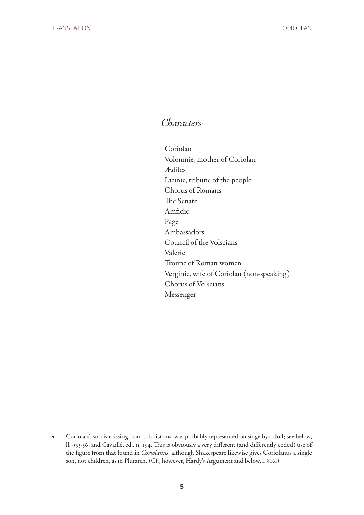### *Characters*<sup>1</sup>

Coriolan Volomnie, mother of Coriolan Ædiles Licinie, tribune of the people Chorus of Romans The Senate Amfidie Page Ambassadors Council of the Volscians Valerie Troupe of Roman women Verginie, wife of Coriolan (non-speaking) Chorus of Volscians Messenger

**<sup>1</sup>** Coriolan's son is missing from this list and was probably represented on stage by a doll; see below, ll. 935-36, and Cavaillé, ed., n. 134. This is obviously a very different (and differently coded) use of the figure from that found in *Coriolanus*, although Shakespeare likewise gives Coriolanus a single son, not children, as in Plutarch. (Cf., however, Hardy's Argument and below, l. 816.)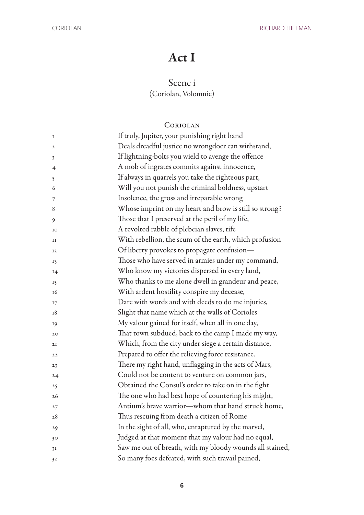## Act I

## Scene i

(Coriolan, Volomnie)

### Coriolan

| I              | If truly, Jupiter, your punishing right hand             |
|----------------|----------------------------------------------------------|
| $\mathbf{2}$   | Deals dreadful justice no wrongdoer can withstand,       |
| 3              | If lightning-bolts you wield to avenge the offence       |
| $\overline{4}$ | A mob of ingrates commits against innocence,             |
| 5              | If always in quarrels you take the righteous part,       |
| 6              | Will you not punish the criminal boldness, upstart       |
| $\overline{7}$ | Insolence, the gross and irreparable wrong               |
| 8              | Whose imprint on my heart and brow is still so strong?   |
| 9              | Those that I preserved at the peril of my life,          |
| IO             | A revolted rabble of plebeian slaves, rife               |
| 11             | With rebellion, the scum of the earth, which profusion   |
| I <sub>2</sub> | Of liberty provokes to propagate confusion-              |
| 13             | Those who have served in armies under my command,        |
| 14             | Who know my victories dispersed in every land,           |
| 15             | Who thanks to me alone dwell in grandeur and peace,      |
| 16             | With ardent hostility conspire my decease,               |
| 17             | Dare with words and with deeds to do me injuries,        |
| 18             | Slight that name which at the walls of Corioles          |
| 19             | My valour gained for itself, when all in one day,        |
| 20             | That town subdued, back to the camp I made my way,       |
| 2I             | Which, from the city under siege a certain distance,     |
| 22             | Prepared to offer the relieving force resistance.        |
| 23             | There my right hand, unflagging in the acts of Mars,     |
| 24             | Could not be content to venture on common jars,          |
| 25             | Obtained the Consul's order to take on in the fight      |
| 26             | The one who had best hope of countering his might,       |
| 27             | Antium's brave warrior—whom that hand struck home,       |
| 28             | Thus rescuing from death a citizen of Rome               |
| 29             | In the sight of all, who, enraptured by the marvel,      |
| 30             | Judged at that moment that my valour had no equal,       |
| 3I             | Saw me out of breath, with my bloody wounds all stained, |
| 32             | So many foes defeated, with such travail pained,         |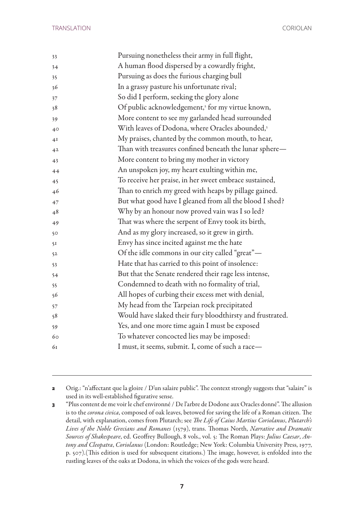| 33             | Pursuing nonetheless their army in full flight,              |
|----------------|--------------------------------------------------------------|
| 34             | A human flood dispersed by a cowardly fright,                |
| 35             | Pursuing as does the furious charging bull                   |
| 36             | In a grassy pasture his unfortunate rival;                   |
| 37             | So did I perform, seeking the glory alone                    |
| 38             | Of public acknowledgement, <sup>2</sup> for my virtue known, |
| 39             | More content to see my garlanded head surrounded             |
| 40             | With leaves of Dodona, where Oracles abounded,3              |
| 4I             | My praises, chanted by the common mouth, to hear,            |
| 4 <sup>2</sup> | Than with treasures confined beneath the lunar sphere-       |
| 43             | More content to bring my mother in victory                   |
| 44             | An unspoken joy, my heart exulting within me,                |
| 45             | To receive her praise, in her sweet embrace sustained,       |
| 46             | Than to enrich my greed with heaps by pillage gained.        |
| 47             | But what good have I gleaned from all the blood I shed?      |
| 48             | Why by an honour now proved vain was I so led?               |
| 49             | That was where the serpent of Envy took its birth,           |
| 50             | And as my glory increased, so it grew in girth.              |
| 51             | Envy has since incited against me the hate                   |
| 5 <sup>2</sup> | Of the idle commons in our city called "great"-              |
| 53             | Hate that has carried to this point of insolence:            |
| 54             | But that the Senate rendered their rage less intense,        |
| 55             | Condemned to death with no formality of trial,               |
| 56             | All hopes of curbing their excess met with denial,           |
| 57             | My head from the Tarpeian rock precipitated                  |
| 58             | Would have slaked their fury bloodthirsty and frustrated.    |
| 59             | Yes, and one more time again I must be exposed               |
| 60             | To whatever concocted lies may be imposed:                   |
| 61             | I must, it seems, submit. I, come of such a race-            |
|                |                                                              |

 Orig.: "n'affectant que la gloire / D'un salaire public". The context strongly suggests that "salaire" is used in its well-established figurative sense.

 "Plus content de me voir le chef environné / De l'arbre de Dodone aux Oracles donné". The allusion is to the *corona civica*, composed of oak leaves, betowed for saving the life of a Roman citizen. The detail, with explanation, comes from Plutarch; see *The Life of Caius Martius Coriolanus*, *Plutarch's Lives of the Noble Grecians and Romanes* (1579), trans. Thomas North, *Narrative and Dramatic Sources of Shakespeare*, ed. Geoffrey Bullough, 8 vols., vol. 5: The Roman Plays: *Julius Caesar*, *Antony and Cleopatra*, *Coriolanus* (London: Routledge; New York: Columbia University Press, 1977, p. 507).(This edition is used for subsequent citations.) The image, however, is enfolded into the rustling leaves of the oaks at Dodona, in which the voices of the gods were heard.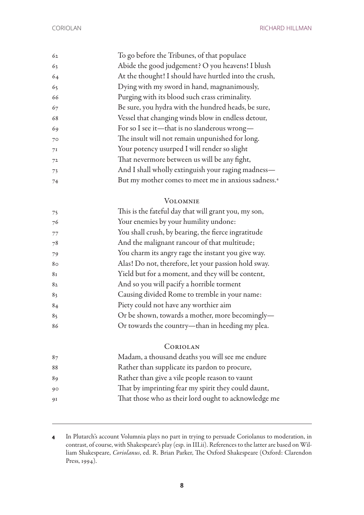CORIOLAN RICHARD HILLMAN

| 62 | To go before the Tribunes, of that populace                     |
|----|-----------------------------------------------------------------|
| 63 | Abide the good judgement? O you heavens! I blush                |
| 64 | At the thought! I should have hurtled into the crush,           |
| 65 | Dying with my sword in hand, magnanimously,                     |
| 66 | Purging with its blood such crass criminality.                  |
| 67 | Be sure, you hydra with the hundred heads, be sure,             |
| 68 | Vessel that changing winds blow in endless detour,              |
| 69 | For so I see it—that is no slanderous wrong—                    |
| 70 | The insult will not remain unpunished for long.                 |
| 7I | Your potency usurped I will render so slight                    |
| 72 | That nevermore between us will be any fight,                    |
| 73 | And I shall wholly extinguish your raging madness-              |
| 74 | But my mother comes to meet me in anxious sadness. <sup>4</sup> |

#### Volomnie

| 75             | This is the fateful day that will grant you, my son, |
|----------------|------------------------------------------------------|
| 76             | Your enemies by your humility undone:                |
| 77             | You shall crush, by bearing, the fierce ingratitude  |
| 78             | And the malignant rancour of that multitude;         |
| 79             | You charm its angry rage the instant you give way.   |
| 80             | Alas! Do not, therefore, let your passion hold sway. |
| 81             | Yield but for a moment, and they will be content,    |
| 82             | And so you will pacify a horrible torment            |
| 83             | Causing divided Rome to tremble in your name:        |
| 84             | Piety could not have any worthier aim                |
| 8 <sub>5</sub> | Or be shown, towards a mother, more becomingly-      |
| 86             | Or towards the country-than in heeding my plea.      |

#### Coriolan

| 87 | Madam, a thousand deaths you will see me endure      |
|----|------------------------------------------------------|
| 88 | Rather than supplicate its pardon to procure,        |
| 89 | Rather than give a vile people reason to vaunt       |
| 90 | That by imprinting fear my spirit they could daunt,  |
| 9I | That those who as their lord ought to acknowledge me |
|    |                                                      |

 In Plutarch's account Volumnia plays no part in trying to persuade Coriolanus to moderation, in contrast, of course, with Shakespeare's play (esp. in III.ii). References to the latter are based on William Shakespeare, *Coriolanus*, ed. R. Brian Parker, The Oxford Shakespeare (Oxford: Clarendon Press, 1994).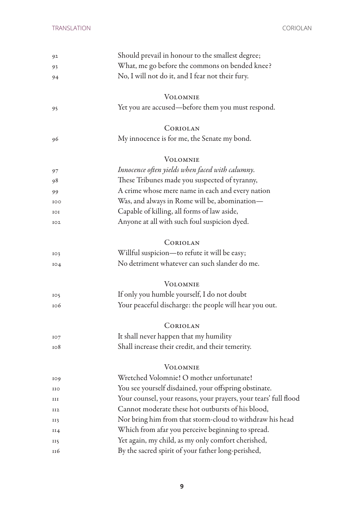| Should prevail in honour to the smallest degree;                 |
|------------------------------------------------------------------|
| What, me go before the commons on bended knee?                   |
| No, I will not do it, and I fear not their fury.                 |
| <b>VOLOMNIE</b>                                                  |
| Yet you are accused—before them you must respond.                |
| CORIOLAN                                                         |
| My innocence is for me, the Senate my bond.                      |
| <b>VOLOMNIE</b>                                                  |
| Innocence often yields when faced with calumny.                  |
| These Tribunes made you suspected of tyranny,                    |
| A crime whose mere name in each and every nation                 |
| Was, and always in Rome will be, abomination—                    |
| Capable of killing, all forms of law aside,                      |
| Anyone at all with such foul suspicion dyed.                     |
| CORIOLAN                                                         |
| Willful suspicion-to refute it will be easy;                     |
| No detriment whatever can such slander do me.                    |
| <b>VOLOMNIE</b>                                                  |
| If only you humble yourself, I do not doubt                      |
| Your peaceful discharge: the people will hear you out.           |
| CORIOLAN                                                         |
| It shall never happen that my humility                           |
| Shall increase their credit, and their temerity.                 |
| <b>VOLOMNIE</b>                                                  |
| Wretched Volomnie! O mother unfortunate!                         |
| You see yourself disdained, your offspring obstinate.            |
| Your counsel, your reasons, your prayers, your tears' full flood |
| Cannot moderate these hot outbursts of his blood,                |
| Nor bring him from that storm-cloud to withdraw his head         |
| Which from afar you perceive beginning to spread.                |
| Yet again, my child, as my only comfort cherished,               |
| By the sacred spirit of your father long-perished,               |
|                                                                  |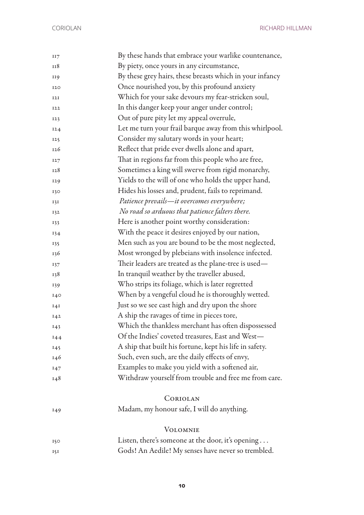CORIOLAN RICHARD HILLMAN

| II7        | By these hands that embrace your warlike countenance,    |
|------------|----------------------------------------------------------|
| 118        | By piety, once yours in any circumstance,                |
| 119        | By these grey hairs, these breasts which in your infancy |
| 120        | Once nourished you, by this profound anxiety             |
| 12I        | Which for your sake devours my fear-stricken soul,       |
| <b>I22</b> | In this danger keep your anger under control;            |
| 123        | Out of pure pity let my appeal overrule,                 |
| 124        | Let me turn your frail barque away from this whirlpool.  |
| 125        | Consider my salutary words in your heart;                |
| 126        | Reflect that pride ever dwells alone and apart,          |
| 127        | That in regions far from this people who are free,       |
| 128        | Sometimes a king will swerve from rigid monarchy,        |
| 129        | Yields to the will of one who holds the upper hand,      |
| 130        | Hides his losses and, prudent, fails to reprimand.       |
| 131        | Patience prevails-it overcomes everywhere;               |
| 132        | No road so arduous that patience falters there.          |
| 133        | Here is another point worthy consideration:              |
| 134        | With the peace it desires enjoyed by our nation,         |
| 135        | Men such as you are bound to be the most neglected,      |
| 136        | Most wronged by plebeians with insolence infected.       |
| 137        | Their leaders are treated as the plane-tree is used—     |
| 138        | In tranquil weather by the traveller abused,             |
| 139        | Who strips its foliage, which is later regretted         |
| 140        | When by a vengeful cloud he is thoroughly wetted.        |
| I4I        | Just so we see cast high and dry upon the shore          |
| 142        | A ship the ravages of time in pieces tore,               |
| 143        | Which the thankless merchant has often dispossessed      |
| 144        | Of the Indies' coveted treasures, East and West-         |
| 145        | A ship that built his fortune, kept his life in safety.  |
| 146        | Such, even such, are the daily effects of envy,          |
| 147        | Examples to make you yield with a softened air,          |
| 148        | Withdraw yourself from trouble and free me from care.    |
|            |                                                          |
|            | CORIOLAN                                                 |
| 149        | Madam, my honour safe, I will do anything.               |
|            |                                                          |
|            | <b>VOLOMNIE</b>                                          |
| 150        | Listen, there's someone at the door, it's opening        |
| 151        | Gods! An Aedile! My senses have never so trembled.       |
|            |                                                          |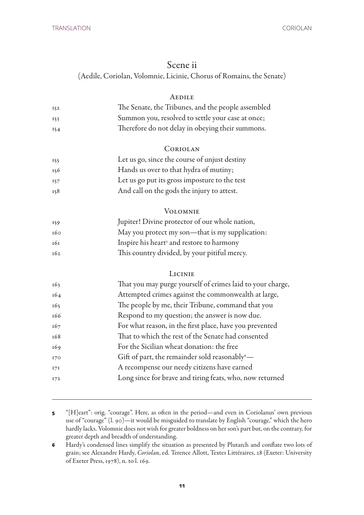#### Scene ii

(Aedile, Coriolan, Volomnie, Licinie, Chorus of Romains, the Senate)

#### **AEDILE**

| 152 | The Senate, the Tribunes, and the people assembled |
|-----|----------------------------------------------------|
| 153 | Summon you, resolved to settle your case at once;  |
| 154 | Therefore do not delay in obeying their summons.   |

#### **CORIOLAN**

- Let us go, since the course of unjust destiny
- Hands us over to that hydra of mutiny;
- Let us go put its gross imposture to the test
- And call on the gods the injury to attest.

#### **VOLOMNIE**

| 159 | Jupiter! Divine protector of our whole nation,        |
|-----|-------------------------------------------------------|
| 160 | May you protect my son—that is my supplication:       |
| 161 | Inspire his heart <sup>5</sup> and restore to harmony |
| 162 | This country divided, by your pitiful mercy.          |

#### **LICINIE**

| 163 | That you may purge yourself of crimes laid to your charge,       |
|-----|------------------------------------------------------------------|
| 164 | Attempted crimes against the commonwealth at large,              |
| 165 | The people by me, their Tribune, command that you                |
| 166 | Respond to my question; the answer is now due.                   |
| 167 | For what reason, in the first place, have you prevented          |
| 168 | That to which the rest of the Senate had consented               |
| 169 | For the Sicilian wheat donation: the free                        |
| 170 | Gift of part, the remainder sold reasonably $\overset{\circ}{-}$ |
| 171 | A recompense our needy citizens have earned                      |
| 172 | Long since for brave and tiring feats, who, now returned         |
|     |                                                                  |

- "[H]eart": orig. "courage". Here, as often in the period—and even in Coriolanus' own previous use of "courage" (l. 90)—it would be misguided to translate by English "courage," which the hero hardly lacks. Volomnie does not wish for greater boldness on her son's part but, on the contrary, for greater depth and breadth of understanding.
- Hardy's condensed lines simplify the situation as presented by Plutarch and conflate two lots of grain; see Alexandre Hardy, *Coriolan*, ed. Terence Allott, Textes Littéraires, 28 (Exeter: University of Exeter Press, 1978), n. to l. 169.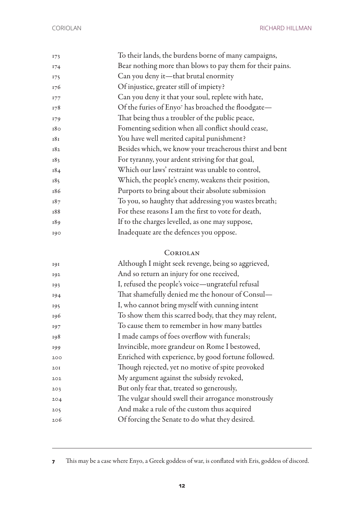| 173        | To their lands, the burdens borne of many campaigns,           |
|------------|----------------------------------------------------------------|
| 174        | Bear nothing more than blows to pay them for their pains.      |
| 175        | Can you deny it—that brutal enormity                           |
| 176        | Of injustice, greater still of impiety?                        |
| <b>177</b> | Can you deny it that your soul, replete with hate,             |
| 178        | Of the furies of Enyo <sup>7</sup> has broached the floodgate- |
| 179        | That being thus a troubler of the public peace,                |
| 180        | Fomenting sedition when all conflict should cease,             |
| 181        | You have well merited capital punishment?                      |
| 182        | Besides which, we know your treacherous thirst and bent        |
| 183        | For tyranny, your ardent striving for that goal,               |
| 184        | Which our laws' restraint was unable to control,               |
| 185        | Which, the people's enemy, weakens their position,             |
| 186        | Purports to bring about their absolute submission              |
| 187        | To you, so haughty that addressing you wastes breath;          |
| 188        | For these reasons I am the first to vote for death,            |
| 189        | If to the charges levelled, as one may suppose,                |
| 190        | Inadequate are the defences you oppose.                        |
|            |                                                                |

### Coriolan

| 191 | Although I might seek revenge, being so aggrieved,    |
|-----|-------------------------------------------------------|
| 192 | And so return an injury for one received,             |
| 193 | I, refused the people's voice—ungrateful refusal      |
| 194 | That shamefully denied me the honour of Consul—       |
| 195 | I, who cannot bring myself with cunning intent        |
| 196 | To show them this scarred body, that they may relent, |
| 197 | To cause them to remember in how many battles         |
| 198 | I made camps of foes overflow with funerals;          |
| 199 | Invincible, more grandeur on Rome I bestowed,         |
| 200 | Enriched with experience, by good fortune followed.   |
| 2OI | Though rejected, yet no motive of spite provoked      |
| 202 | My argument against the subsidy revoked,              |
| 203 | But only fear that, treated so generously,            |
| 204 | The vulgar should swell their arrogance monstrously   |
| 205 | And make a rule of the custom thus acquired           |
| 206 | Of forcing the Senate to do what they desired.        |
|     |                                                       |

This may be a case where Enyo, a Greek goddess of war, is conflated with Eris, goddess of discord.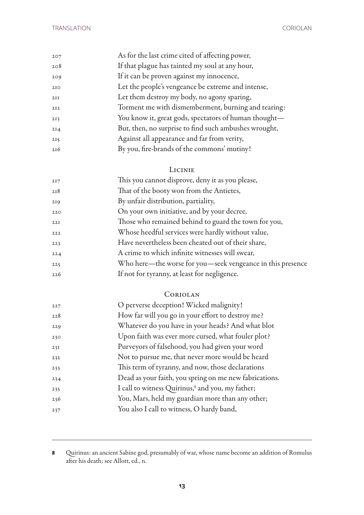| 207             | As for the last crime cited of affecting power,       |
|-----------------|-------------------------------------------------------|
| 208             | If that plague has tainted my soul at any hour,       |
| 209             | If it can be proven against my innocence,             |
| 2IO             | Let the people's vengeance be extreme and intense,    |
| 2II             | Let them destroy my body, no agony sparing,           |
| 2I2             | Torment me with dismemberment, burning and tearing:   |
| 2I3             | You know it, great gods, spectators of human thought- |
| 2I <sub>4</sub> | But, then, no surprise to find such ambushes wrought, |
| 2I5             | Against all appearance and far from verity,           |
| 216             | By you, fire-brands of the commons' mutiny!           |

## LICINIE<br>distances de

| 217 | This you cannot disprove, deny it as you please,           |
|-----|------------------------------------------------------------|
| 218 | That of the booty won from the Antietes,                   |
| 219 | By unfair distribution, partiality,                        |
| 220 | On your own initiative, and by your decree,                |
| 22I | Those who remained behind to guard the town for you,       |
| 222 | Whose heedful services were hardly without value,          |
| 223 | Have nevertheless been cheated out of their share,         |
| 224 | A crime to which infinite witnesses will swear,            |
| 225 | Who here—the worse for you—seek vengeance in this presence |
| 226 | If not for tyranny, at least for negligence.               |
|     |                                                            |

#### Coriolan

| 227 | O perverse deception! Wicked malignity!                |
|-----|--------------------------------------------------------|
| 228 | How far will you go in your effort to destroy me?      |
| 229 | Whatever do you have in your heads? And what blot      |
| 230 | Upon faith was ever more cursed, what fouler plot?     |
| 23I | Purveyors of falsehood, you had given your word        |
| 232 | Not to pursue me, that never more would be heard       |
| 233 | This term of tyranny, and now, those declarations      |
| 234 | Dead as your faith, you spring on me new fabrications. |
| 235 | I call to witness Quirinus,8 and you, my father;       |
| 236 | You, Mars, held my guardian more than any other;       |
| 237 | You also I call to witness, O hardy band,              |

 Quirinus: an ancient Sabine god, presumably of war, whose name become an addition of Romulus after his death; see Allott, ed., n.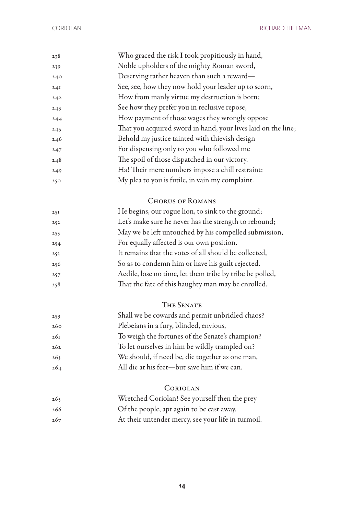| 238 | Who graced the risk I took propitiously in hand,              |
|-----|---------------------------------------------------------------|
| 239 | Noble upholders of the mighty Roman sword,                    |
| 240 | Deserving rather heaven than such a reward-                   |
| 24I | See, see, how they now hold your leader up to scorn,          |
| 242 | How from manly virtue my destruction is born;                 |
| 243 | See how they prefer you in reclusive repose,                  |
| 244 | How payment of those wages they wrongly oppose                |
| 245 | That you acquired sword in hand, your lives laid on the line; |
| 246 | Behold my justice tainted with thievish design                |
| 247 | For dispensing only to you who followed me                    |
| 248 | The spoil of those dispatched in our victory.                 |
| 249 | Ha! Their mere numbers impose a chill restraint:              |
| 250 | My plea to you is futile, in vain my complaint.               |
|     |                                                               |

#### CHORUS OF ROMANS

| 25I | He begins, our rogue lion, to sink to the ground;        |
|-----|----------------------------------------------------------|
| 252 | Let's make sure he never has the strength to rebound;    |
| 253 | May we be left untouched by his compelled submission,    |
| 254 | For equally affected is our own position.                |
| 255 | It remains that the votes of all should be collected,    |
| 256 | So as to condemn him or have his guilt rejected.         |
| 257 | Aedile, lose no time, let them tribe by tribe be polled, |
| 258 | That the fate of this haughty man may be enrolled.       |
|     |                                                          |

### The Senate

| 259 | Shall we be cowards and permit unbridled chaos? |
|-----|-------------------------------------------------|
| 260 | Plebeians in a fury, blinded, envious,          |
| 26I | To weigh the fortunes of the Senate's champion? |
| 262 | To let ourselves in him be wildly trampled on?  |
| 263 | We should, if need be, die together as one man, |
| 264 | All die at his feet—but save him if we can.     |
|     |                                                 |

## Coriolan

| 265 | Wretched Coriolan! See yourself then the prey      |
|-----|----------------------------------------------------|
| 266 | Of the people, apt again to be cast away.          |
| 267 | At their untender mercy, see your life in turmoil. |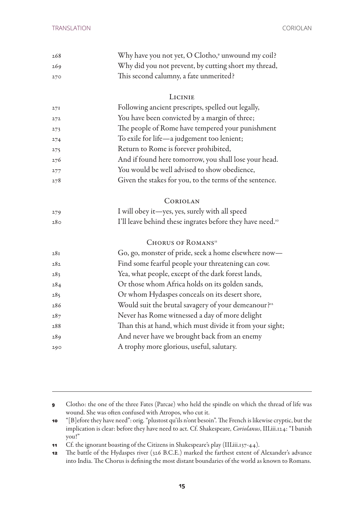| 268 | Why have you not yet, O Clotho, <sup>9</sup> unwound my coil?         |
|-----|-----------------------------------------------------------------------|
| 269 | Why did you not prevent, by cutting short my thread,                  |
| 270 | This second calumny, a fate unmerited?                                |
|     | LICINIE                                                               |
| 27I | Following ancient prescripts, spelled out legally,                    |
| 272 | You have been convicted by a margin of three;                         |
| 273 | The people of Rome have tempered your punishment                      |
| 274 | To exile for life-a judgement too lenient;                            |
| 275 | Return to Rome is forever prohibited,                                 |
| 276 | And if found here tomorrow, you shall lose your head.                 |
| 277 | You would be well advised to show obedience,                          |
| 278 | Given the stakes for you, to the terms of the sentence.               |
|     | CORIOLAN                                                              |
| 279 | I will obey it-yes, yes, surely with all speed                        |
| 280 | I'll leave behind these ingrates before they have need. <sup>10</sup> |
|     | CHORUS OF ROMANS <sup>II</sup>                                        |
| 28I | Go, go, monster of pride, seek a home elsewhere now-                  |
| 282 | Find some fearful people your threatening can cow.                    |
| 283 | Yea, what people, except of the dark forest lands,                    |
| 284 | Or those whom Africa holds on its golden sands,                       |
| 285 | Or whom Hydaspes conceals on its desert shore,                        |
| 286 | Would suit the brutal savagery of your demeanour? <sup>12</sup>       |
| 287 | Never has Rome witnessed a day of more delight                        |
| 288 | Than this at hand, which must divide it from your sight;              |
| 289 | And never have we brought back from an enemy                          |
| 290 | A trophy more glorious, useful, salutary.                             |
|     |                                                                       |

 Clotho: the one of the three Fates (Parcae) who held the spindle on which the thread of life was wound. She was often confused with Atropos, who cut it.

 "[B]efore they have need": orig. "plustost qu'ils n'ont besoin". The French is likewise cryptic, but the implication is clear: before they have need to act. Cf. Shakespeare, *Coriolanus*, III.iii.124: "I banish you!"

Cf. the ignorant boasting of the Citizens in Shakespeare's play (III.iii.137-44).

 The battle of the Hydaspes river (326 B.C.E.) marked the farthest extent of Alexander's advance into India. The Chorus is defining the most distant boundaries of the world as known to Romans.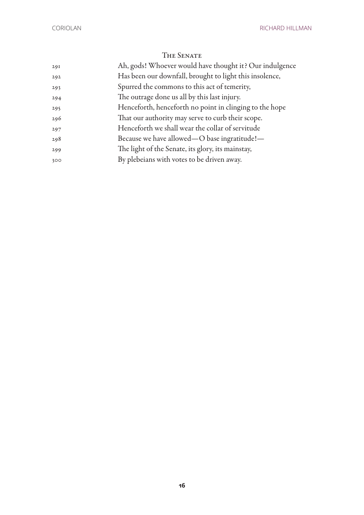| 29I | Ah, gods! Whoever would have thought it? Our indulgence |
|-----|---------------------------------------------------------|
| 292 | Has been our downfall, brought to light this insolence, |
| 293 | Spurred the commons to this act of temerity,            |
| 294 | The outrage done us all by this last injury.            |
| 295 | Henceforth, henceforth no point in clinging to the hope |
| 296 | That our authority may serve to curb their scope.       |
| 297 | Henceforth we shall wear the collar of servitude        |
| 298 | Because we have allowed—O base ingratitude!—            |
| 299 | The light of the Senate, its glory, its mainstay,       |
| 300 | By plebeians with votes to be driven away.              |
|     |                                                         |

### The Senate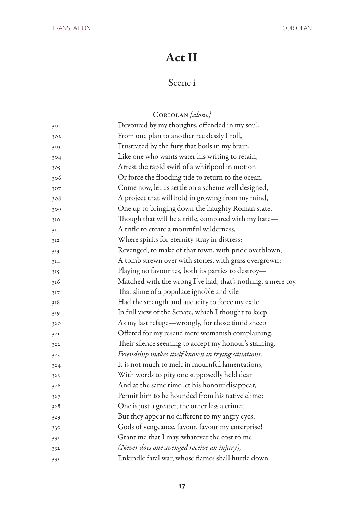## Act II

## Scene i

## Coriolan *[alone]*

| 30I | Devoured by my thoughts, offended in my soul,                |
|-----|--------------------------------------------------------------|
| 302 | From one plan to another recklessly I roll,                  |
| 303 | Frustrated by the fury that boils in my brain,               |
| 304 | Like one who wants water his writing to retain,              |
| 305 | Arrest the rapid swirl of a whirlpool in motion              |
| 306 | Or force the flooding tide to return to the ocean.           |
| 307 | Come now, let us settle on a scheme well designed,           |
| 308 | A project that will hold in growing from my mind,            |
| 309 | One up to bringing down the haughty Roman state,             |
| 310 | Though that will be a trifle, compared with my hate-         |
| 3II | A trifle to create a mournful wilderness,                    |
| 312 | Where spirits for eternity stray in distress;                |
| 313 | Revenged, to make of that town, with pride overblown,        |
| 314 | A tomb strewn over with stones, with grass overgrown;        |
| 315 | Playing no favourites, both its parties to destroy-          |
| 316 | Matched with the wrong I've had, that's nothing, a mere toy. |
| 317 | That slime of a populace ignoble and vile                    |
| 318 | Had the strength and audacity to force my exile              |
| 319 | In full view of the Senate, which I thought to keep          |
| 320 | As my last refuge—wrongly, for those timid sheep             |
| 32I | Offered for my rescue mere womanish complaining,             |
| 322 | Their silence seeming to accept my honour's staining.        |
| 323 | Friendship makes itself known in trying situations:          |
| 324 | It is not much to melt in mournful lamentations,             |
| 325 | With words to pity one supposedly held dear                  |
| 326 | And at the same time let his honour disappear,               |
| 327 | Permit him to be hounded from his native clime:              |
| 328 | One is just a greater, the other less a crime;               |
| 329 | But they appear no different to my angry eyes:               |
| 330 | Gods of vengeance, favour, favour my enterprise!             |
| 33I | Grant me that I may, whatever the cost to me                 |
| 332 | (Never does one avenged receive an injury),                  |
| 333 | Enkindle fatal war, whose flames shall hurtle down           |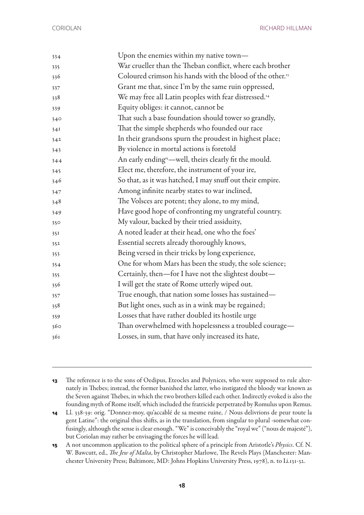| 334 | Upon the enemies within my native town-                               |
|-----|-----------------------------------------------------------------------|
| 335 | War crueller than the Theban conflict, where each brother             |
| 336 | Coloured crimson his hands with the blood of the other. <sup>13</sup> |
| 337 | Grant me that, since I'm by the same ruin oppressed,                  |
| 338 | We may free all Latin peoples with fear distressed. <sup>14</sup>     |
| 339 | Equity obliges: it cannot, cannot be                                  |
| 340 | That such a base foundation should tower so grandly,                  |
| 34I | That the simple shepherds who founded our race                        |
| 342 | In their grandsons spurn the proudest in highest place;               |
| 343 | By violence in mortal actions is foretold                             |
| 344 | An early ending"-well, theirs clearly fit the mould.                  |
| 345 | Elect me, therefore, the instrument of your ire,                      |
| 346 | So that, as it was hatched, I may snuff out their empire.             |
| 347 | Among infinite nearby states to war inclined,                         |
| 348 | The Volsces are potent; they alone, to my mind,                       |
| 349 | Have good hope of confronting my ungrateful country.                  |
| 350 | My valour, backed by their tried assiduity,                           |
| 35I | A noted leader at their head, one who the foes'                       |
| 352 | Essential secrets already thoroughly knows,                           |
| 353 | Being versed in their tricks by long experience,                      |
| 354 | One for whom Mars has been the study, the sole science;               |
| 355 | Certainly, then-for I have not the slightest doubt-                   |
| 356 | I will get the state of Rome utterly wiped out.                       |
| 357 | True enough, that nation some losses has sustained—                   |
| 358 | But light ones, such as in a wink may be regained;                    |
| 359 | Losses that have rather doubled its hostile urge                      |
| 360 | Than overwhelmed with hopelessness a troubled courage-                |
| 361 | Losses, in sum, that have only increased its hate,                    |
|     |                                                                       |

 The reference is to the sons of Oedipus, Eteocles and Polynices, who were supposed to rule alternately in Thebes; instead, the former banished the latter, who instigated the bloody war known as the Seven against Thebes, in which the two brothers killed each other. Indirectly evoked is also the founding myth of Rome itself, which included the fratricide perpetrated by Romulus upon Remus.

 Ll. 338-39: orig. "Donnez-moy, qu'accablé de sa mesme ruine, / Nous delivrions de peur toute la gent Latine": the original thus shifts, as in the translation, from singular to plural -somewhat confusingly, although the sense is clear enough. "We" is conceivably the "royal we" ("nous de majesté"), but Coriolan may rather be envisaging the forces he will lead.

 A not uncommon application to the political sphere of a principle from Aristotle's *Physics*. Cf. N. W. Bawcutt, ed., *The Jew of Malta*, by Christopher Marlowe, The Revels Plays (Manchester: Manchester University Press; Baltimore, MD: Johns Hopkins University Press, 1978), n. to I.i.131-32.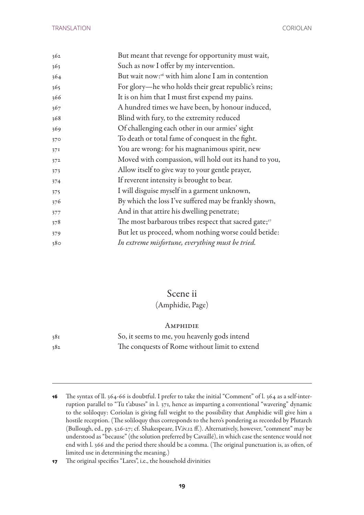| 362 | But meant that revenge for opportunity must wait,                 |
|-----|-------------------------------------------------------------------|
| 363 | Such as now I offer by my intervention.                           |
| 364 | But wait now: <sup>16</sup> with him alone I am in contention     |
| 365 | For glory-he who holds their great republic's reins;              |
| 366 | It is on him that I must first expend my pains.                   |
| 367 | A hundred times we have been, by honour induced,                  |
| 368 | Blind with fury, to the extremity reduced                         |
| 369 | Of challenging each other in our armies' sight                    |
| 370 | To death or total fame of conquest in the fight.                  |
| 37I | You are wrong: for his magnanimous spirit, new                    |
| 372 | Moved with compassion, will hold out its hand to you,             |
| 373 | Allow itself to give way to your gentle prayer,                   |
| 374 | If reverent intensity is brought to bear.                         |
| 375 | I will disguise myself in a garment unknown,                      |
| 376 | By which the loss I've suffered may be frankly shown,             |
| 377 | And in that attire his dwelling penetrate;                        |
| 378 | The most barbarous tribes respect that sacred gate; <sup>17</sup> |
| 379 | But let us proceed, whom nothing worse could betide:              |
| 380 | In extreme misfortune, everything must be tried.                  |

## Scene ii

#### (Amphidie, Page)

#### **AMPHIDIE**

| 381 | So, it seems to me, you heavenly gods intend  |
|-----|-----------------------------------------------|
| 382 | The conquests of Rome without limit to extend |

 The syntax of ll. 364-66 is doubtful. I prefer to take the initial "Comment" of l. 364 as a self-interruption parallel to "Tu t'abuses" in l. 371, hence as imparting a conventional "wavering" dynamic to the soliloquy: Coriolan is giving full weight to the possibility that Amphidie will give him a hostile reception. (The soliloquy thus corresponds to the hero's pondering as recorded by Plutarch (Bullough, ed., pp. 526-27; cf. Shakespeare, IV.iv.12 ff.). Alternatively, however, "comment" may be understood as "because" (the solution preferred by Cavaillé), in which case the sentence would not end with l. 366 and the period there should be a comma. (The original punctuation is, as often, of limited use in determining the meaning.)

The original specifies "Lares", i.e., the household divinities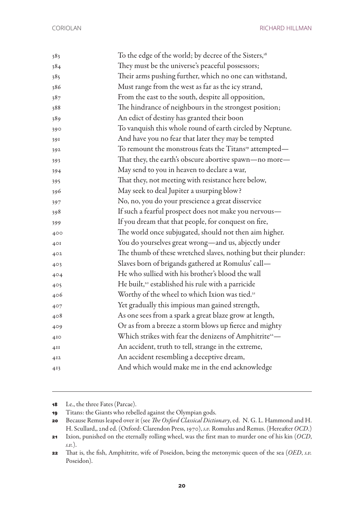CORIOLAN RICHARD HILLMAN

| 383             | To the edge of the world; by decree of the Sisters, <sup>18</sup>  |
|-----------------|--------------------------------------------------------------------|
| 384             | They must be the universe's peaceful possessors;                   |
| 385             | Their arms pushing further, which no one can withstand,            |
| 386             | Must range from the west as far as the icy strand,                 |
| 387             | From the east to the south, despite all opposition,                |
| 388             | The hindrance of neighbours in the strongest position;             |
| 389             | An edict of destiny has granted their boon                         |
| 390             | To vanquish this whole round of earth circled by Neptune.          |
| 391             | And have you no fear that later they may be tempted                |
| 392             | To remount the monstrous feats the Titans <sup>19</sup> attempted— |
| 393             | That they, the earth's obscure abortive spawn—no more—             |
| 394             | May send to you in heaven to declare a war,                        |
| 395             | That they, not meeting with resistance here below,                 |
| 396             | May seek to deal Jupiter a usurping blow?                          |
| 397             | No, no, you do your prescience a great disservice                  |
| 398             | If such a fearful prospect does not make you nervous-              |
| 399             | If you dream that that people, for conquest on fire,               |
| 400             | The world once subjugated, should not then aim higher.             |
| 40I             | You do yourselves great wrong-and us, abjectly under               |
| 402             | The thumb of these wretched slaves, nothing but their plunder:     |
| 403             | Slaves born of brigands gathered at Romulus' call-                 |
| 404             | He who sullied with his brother's blood the wall                   |
| 405             | He built, <sup>20</sup> established his rule with a parricide      |
| 406             | Worthy of the wheel to which Ixion was tied. <sup>21</sup>         |
| 407             | Yet gradually this impious man gained strength,                    |
| 408             | As one sees from a spark a great blaze grow at length,             |
| 409             | Or as from a breeze a storm blows up fierce and mighty             |
| 4I <sub>O</sub> | Which strikes with fear the denizens of Amphitrite <sup>22</sup> — |
| 4II             | An accident, truth to tell, strange in the extreme,                |
| 4I <sub>2</sub> | An accident resembling a deceptive dream,                          |
| 413             | And which would make me in the end acknowledge                     |
|                 |                                                                    |

I.e., the three Fates (Parcae).

Titans: the Giants who rebelled against the Olympian gods.

 Because Remus leaped over it (see *The Oxford Classical Dictionary*, ed. N. G. L. Hammond and H. H. Scullard,, 2nd ed. (Oxford: Clarendon Press, 1970), *s.v.* Romulus and Remus. (Hereafter *OCD*.)

 Ixion, punished on the eternally rolling wheel, was the first man to murder one of his kin (*OCD*, *s.v.*).

 That is, the fish, Amphitrite, wife of Poseidon, being the metonymic queen of the sea (*OED*, *s.v.* Poseidon).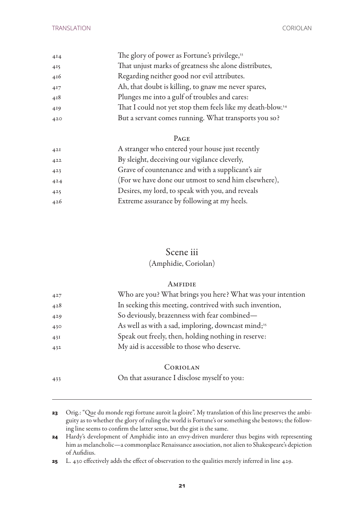| 4I4 | The glory of power as Fortune's privilege, <sup>23</sup>               |
|-----|------------------------------------------------------------------------|
| 415 | That unjust marks of greatness she alone distributes,                  |
| 416 | Regarding neither good nor evil attributes.                            |
| 417 | Ah, that doubt is killing, to gnaw me never spares,                    |
| 418 | Plunges me into a gulf of troubles and cares:                          |
| 419 | That I could not yet stop them feels like my death-blow. <sup>24</sup> |
| 420 | But a servant comes running. What transports you so?                   |

#### Page

| 42I | A stranger who entered your house just recently      |
|-----|------------------------------------------------------|
| 422 | By sleight, deceiving our vigilance cleverly,        |
| 423 | Grave of countenance and with a supplicant's air     |
| 424 | (For we have done our utmost to send him elsewhere), |
| 425 | Desires, my lord, to speak with you, and reveals     |
| 426 | Extreme assurance by following at my heels.          |
|     |                                                      |

## Scene iii (Amphidie, Coriolan)

#### **AMFIDIE**

| 427 | Who are you? What brings you here? What was your intention     |
|-----|----------------------------------------------------------------|
| 428 | In seeking this meeting, contrived with such invention,        |
| 429 | So deviously, brazenness with fear combined-                   |
| 430 | As well as with a sad, imploring, downcast mind; <sup>25</sup> |
| 43I | Speak out freely, then, holding nothing in reserve:            |
| 432 | My aid is accessible to those who deserve.                     |
|     |                                                                |

#### Coriolan

On that assurance I disclose myself to you:

- Hardy's development of Amphidie into an envy-driven murderer thus begins with representing him as melancholic—a commonplace Renaissance association, not alien to Shakespeare's depiction of Aufidius.
- L. 430 effectively adds the effect of observation to the qualities merely inferred in line 429.

 Orig.: "Que du monde regi fortune auroit la gloire". My translation of this line preserves the ambiguity as to whether the glory of ruling the world is Fortune's or something she bestows; the following line seems to confirm the latter sense, but the gist is the same.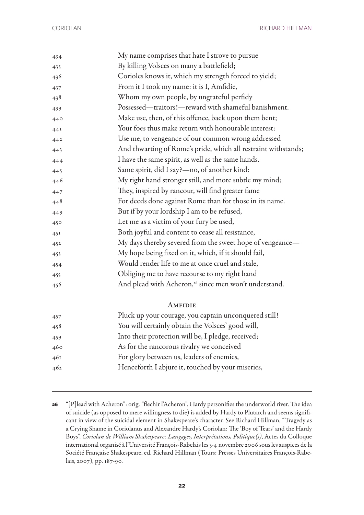CORIOLAN RICHARD HILLMAN

| 434 | My name comprises that hate I strove to pursue                    |
|-----|-------------------------------------------------------------------|
| 435 | By killing Volsces on many a battlefield;                         |
| 436 | Corioles knows it, which my strength forced to yield;             |
| 437 | From it I took my name: it is I, Amfidie,                         |
| 438 | Whom my own people, by ungrateful perfidy                         |
| 439 | Possessed—traitors!—reward with shameful banishment.              |
| 440 | Make use, then, of this offence, back upon them bent;             |
| 44I | Your foes thus make return with honourable interest:              |
| 442 | Use me, to vengeance of our common wrong addressed                |
| 443 | And thwarting of Rome's pride, which all restraint withstands;    |
| 444 | I have the same spirit, as well as the same hands.                |
| 445 | Same spirit, did I say?—no, of another kind:                      |
| 446 | My right hand stronger still, and more subtle my mind;            |
| 447 | They, inspired by rancour, will find greater fame                 |
| 448 | For deeds done against Rome than for those in its name.           |
| 449 | But if by your lordship I am to be refused,                       |
| 450 | Let me as a victim of your fury be used,                          |
| 45I | Both joyful and content to cease all resistance,                  |
| 452 | My days thereby severed from the sweet hope of vengeance—         |
| 453 | My hope being fixed on it, which, if it should fail,              |
| 454 | Would render life to me at once cruel and stale,                  |
| 455 | Obliging me to have recourse to my right hand                     |
| 456 | And plead with Acheron, <sup>26</sup> since men won't understand. |
|     | AMFIDIE                                                           |
| 457 | Pluck up your courage, you captain unconquered still!             |
| 458 | You will certainly obtain the Volsces' good will,                 |
| 459 | Into their protection will be, I pledge, received;                |
| 460 | As for the rancorous rivalry we conceived                         |
| 46I | For glory between us, leaders of enemies,                         |
| 462 | Henceforth I abjure it, touched by your miseries,                 |

 "[P]lead with Acheron": orig. "flechir l'Acheron". Hardy personifies the underworld river. The idea of suicide (as opposed to mere willingness to die) is added by Hardy to Plutarch and seems significant in view of the suicidal element in Shakespeare's character. See Richard Hillman, "Tragedy as a Crying Shame in Coriolanus and Alexandre Hardy's Coriolan: The 'Boy of Tears' and the Hardy Boys", *Coriolan de William Shakespeare: Langages, Interprétations, Politique(s)*, Actes du Colloque international organisé à l'Université François-Rabelais les 3-4 novembre 2006 sous les auspices de la Société Française Shakespeare, ed. Richard Hillman (Tours: Presses Universitaires François-Rabelais, 2007), pp. 187-90.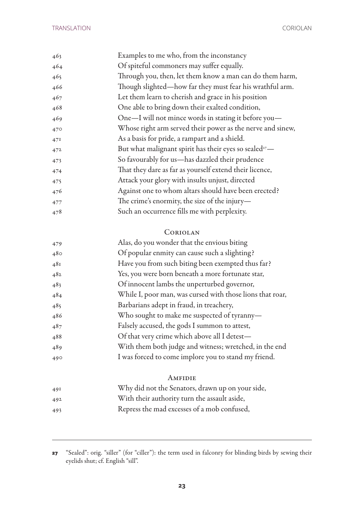| 463 | Examples to me who, from the inconstancy                           |
|-----|--------------------------------------------------------------------|
| 464 | Of spiteful commoners may suffer equally.                          |
| 465 | Through you, then, let them know a man can do them harm,           |
| 466 | Though slighted—how far they must fear his wrathful arm.           |
| 467 | Let them learn to cherish and grace in his position                |
| 468 | One able to bring down their exalted condition,                    |
| 469 | One-I will not mince words in stating it before you-               |
| 470 | Whose right arm served their power as the nerve and sinew,         |
| 47I | As a basis for pride, a rampart and a shield.                      |
| 472 | But what malignant spirit has their eyes so sealed <sup>27</sup> - |
| 473 | So favourably for us-has dazzled their prudence                    |
| 474 | That they dare as far as yourself extend their licence,            |
| 475 | Attack your glory with insults unjust, directed                    |
| 476 | Against one to whom altars should have been erected?               |
| 477 | The crime's enormity, the size of the injury-                      |
| 478 | Such an occurrence fills me with perplexity.                       |
|     |                                                                    |

## Coriolan

| 479 | Alas, do you wonder that the envious biting               |
|-----|-----------------------------------------------------------|
| 480 | Of popular enmity can cause such a slighting?             |
| 481 | Have you from such biting been exempted thus far?         |
| 482 | Yes, you were born beneath a more fortunate star,         |
| 483 | Of innocent lambs the unperturbed governor,               |
| 484 | While I, poor man, was cursed with those lions that roar, |
| 485 | Barbarians adept in fraud, in treachery,                  |
| 486 | Who sought to make me suspected of tyranny-               |
| 487 | Falsely accused, the gods I summon to attest,             |
| 488 | Of that very crime which above all I detest-              |
| 489 | With them both judge and witness; wretched, in the end    |
| 490 | I was forced to come implore you to stand my friend.      |
|     | AMFIDIE                                                   |
| 49I | Why did not the Senators, drawn up on your side,          |
| 492 | With their authority turn the assault aside,              |
| 493 | Repress the mad excesses of a mob confused,               |

 "Sealed": orig. "siller" (for "ciller"): the term used in falconry for blinding birds by sewing their eyelids shut; cf. English "sill".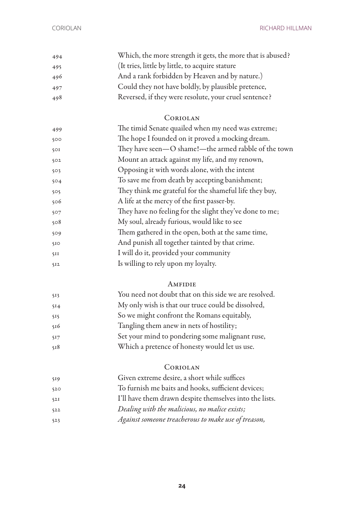CORIOLAN RICHARD HILLMAN

| 494 | Which, the more strength it gets, the more that is abused? |
|-----|------------------------------------------------------------|
| 495 | (It tries, little by little, to acquire stature)           |
| 496 | And a rank forbidden by Heaven and by nature.)             |
| 497 | Could they not have boldly, by plausible pretence,         |
| 498 | Reversed, if they were resolute, your cruel sentence?      |

#### Coriolan

| 499 | The timid Senate quailed when my need was extreme;      |
|-----|---------------------------------------------------------|
| 500 | The hope I founded on it proved a mocking dream.        |
| 50I | They have seen-O shame!- the armed rabble of the town   |
| 502 | Mount an attack against my life, and my renown,         |
| 503 | Opposing it with words alone, with the intent           |
| 504 | To save me from death by accepting banishment;          |
| 505 | They think me grateful for the shameful life they buy,  |
| 506 | A life at the mercy of the first passer-by.             |
| 507 | They have no feeling for the slight they've done to me; |
| 508 | My soul, already furious, would like to see             |
| 509 | Them gathered in the open, both at the same time,       |
| 510 | And punish all together tainted by that crime.          |
| 5II | I will do it, provided your community                   |
| 512 | Is willing to rely upon my loyalty.                     |
|     |                                                         |

#### **AMFIDIE**

| 513             | You need not doubt that on this side we are resolved. |
|-----------------|-------------------------------------------------------|
| 5 <sub>14</sub> | My only wish is that our truce could be dissolved,    |
| 515             | So we might confront the Romans equitably,            |
| 516             | Tangling them anew in nets of hostility;              |
| 517             | Set your mind to pondering some malignant ruse,       |
| 518             | Which a pretence of honesty would let us use.         |

#### Coriolan

| 519 | Given extreme desire, a short while suffices            |
|-----|---------------------------------------------------------|
| 520 | To furnish me baits and hooks, sufficient devices;      |
| 52I | I'll have them drawn despite themselves into the lists. |
| 522 | Dealing with the malicious, no malice exists;           |
|     |                                                         |

*Against someone treacherous to make use of treason,*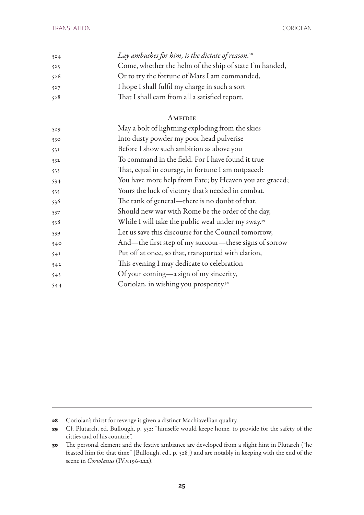| 524 | Lay ambushes for him, is the dictate of reason. $28$    |
|-----|---------------------------------------------------------|
| 525 | Come, whether the helm of the ship of state I'm handed, |
| 526 | Or to try the fortune of Mars I am commanded,           |
| 527 | I hope I shall fulfil my charge in such a sort          |
| 528 | That I shall earn from all a satisfied report.          |

#### **AMFIDIE**

| 529 | May a bolt of lightning exploding from the skies               |
|-----|----------------------------------------------------------------|
| 530 | Into dusty powder my poor head pulverise                       |
| 53I | Before I show such ambition as above you                       |
| 532 | To command in the field. For I have found it true              |
| 533 | That, equal in courage, in fortune I am outpaced:              |
| 534 | You have more help from Fate; by Heaven you are graced;        |
| 535 | Yours the luck of victory that's needed in combat.             |
| 536 | The rank of general—there is no doubt of that,                 |
| 537 | Should new war with Rome be the order of the day,              |
| 538 | While I will take the public weal under my sway. <sup>29</sup> |
| 539 | Let us save this discourse for the Council tomorrow,           |
| 540 | And—the first step of my succour—these signs of sorrow         |
| 54I | Put off at once, so that, transported with elation,            |
| 542 | This evening I may dedicate to celebration                     |
| 543 | Of your coming—a sign of my sincerity,                         |
| 544 | Coriolan, in wishing you prosperity. <sup>30</sup>             |

Coriolan's thirst for revenge is given a distinct Machiavellian quality.

 Cf. Plutarch, ed. Bullough, p. 532: "himselfe would keepe home, to provide for the safety of the citties and of his countrie".

 The personal element and the festive ambiance are developed from a slight hint in Plutarch ("he feasted him for that time" [Bullough, ed., p. 528]) and are notably in keeping with the end of the scene in *Coriolanus* (IV.v.196-222).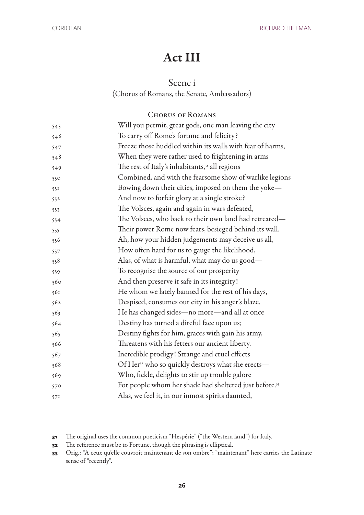## Act III

### Scene i

(Chorus of Romans, the Senate, Ambassadors)

#### Chorus of Romans

| 545 | Will you permit, great gods, one man leaving the city              |
|-----|--------------------------------------------------------------------|
| 546 | To carry off Rome's fortune and felicity?                          |
| 547 | Freeze those huddled within its walls with fear of harms,          |
| 548 | When they were rather used to frightening in arms                  |
| 549 | The rest of Italy's inhabitants, <sup>31</sup> all regions         |
| 550 | Combined, and with the fearsome show of warlike legions            |
| 551 | Bowing down their cities, imposed on them the yoke-                |
| 552 | And now to forfeit glory at a single stroke?                       |
| 553 | The Volsces, again and again in wars defeated,                     |
| 554 | The Volsces, who back to their own land had retreated-             |
| 555 | Their power Rome now fears, besieged behind its wall.              |
| 556 | Ah, how your hidden judgements may deceive us all,                 |
| 557 | How often hard for us to gauge the likelihood,                     |
| 558 | Alas, of what is harmful, what may do us good—                     |
| 559 | To recognise the source of our prosperity                          |
| 560 | And then preserve it safe in its integrity!                        |
| 561 | He whom we lately banned for the rest of his days,                 |
| 562 | Despised, consumes our city in his anger's blaze.                  |
| 563 | He has changed sides-no more-and all at once                       |
| 564 | Destiny has turned a direful face upon us;                         |
| 565 | Destiny fights for him, graces with gain his army,                 |
| 566 | Threatens with his fetters our ancient liberty.                    |
| 567 | Incredible prodigy! Strange and cruel effects                      |
| 568 | Of Her <sup>32</sup> who so quickly destroys what she erects-      |
| 569 | Who, fickle, delights to stir up trouble galore                    |
| 570 | For people whom her shade had sheltered just before. <sup>33</sup> |
| 57I | Alas, we feel it, in our inmost spirits daunted,                   |
|     |                                                                    |

The original uses the common poeticism "Hespérie" ("the Western land") for Italy.

The reference must be to Fortune, though the phrasing is elliptical.

 Orig.: "A ceux qu'elle couvroit maintenant de son ombre"; "maintenant" here carries the Latinate sense of "recently".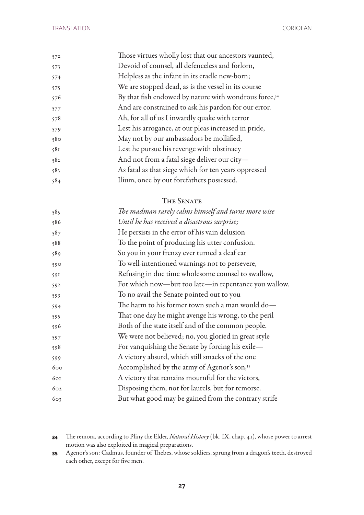| 572 | Those virtues wholly lost that our ancestors vaunted,             |
|-----|-------------------------------------------------------------------|
| 573 | Devoid of counsel, all defenceless and forlorn,                   |
| 574 | Helpless as the infant in its cradle new-born;                    |
| 575 | We are stopped dead, as is the vessel in its course               |
| 576 | By that fish endowed by nature with wondrous force, <sup>34</sup> |
| 577 | And are constrained to ask his pardon for our error.              |
| 578 | Ah, for all of us I inwardly quake with terror                    |
| 579 | Lest his arrogance, at our pleas increased in pride,              |
| 580 | May not by our ambassadors be mollified,                          |
| 581 | Lest he pursue his revenge with obstinacy                         |
| 582 | And not from a fatal siege deliver our city-                      |
| 583 | As fatal as that siege which for ten years oppressed              |
| 584 | Ilium, once by our forefathers possessed.                         |

#### The Senate

| 585 | The madman rarely calms himself and turns more wise     |
|-----|---------------------------------------------------------|
| 586 | Until he has received a disastrous surprise;            |
| 587 | He persists in the error of his vain delusion           |
| 588 | To the point of producing his utter confusion.          |
| 589 | So you in your frenzy ever turned a deaf ear            |
| 590 | To well-intentioned warnings not to persevere,          |
| 591 | Refusing in due time wholesome counsel to swallow,      |
| 592 | For which now—but too late—in repentance you wallow.    |
| 593 | To no avail the Senate pointed out to you               |
| 594 | The harm to his former town such a man would do-        |
| 595 | That one day he might avenge his wrong, to the peril    |
| 596 | Both of the state itself and of the common people.      |
| 597 | We were not believed; no, you gloried in great style    |
| 598 | For vanquishing the Senate by forcing his exile-        |
| 599 | A victory absurd, which still smacks of the one         |
| 600 | Accomplished by the army of Agenor's son, <sup>35</sup> |
| 601 | A victory that remains mournful for the victors,        |
| 602 | Disposing them, not for laurels, but for remorse.       |
| 603 | But what good may be gained from the contrary strife    |
|     |                                                         |

 The remora, according to Pliny the Elder, *Natural History* (bk. IX, chap. 41), whose power to arrest motion was also exploited in magical preparations.

 Agenor's son: Cadmus, founder of Thebes, whose soldiers, sprung from a dragon's teeth, destroyed each other, except for five men.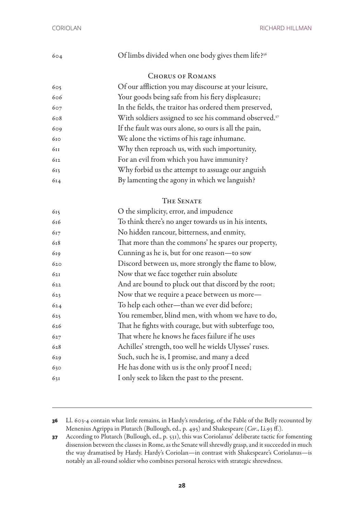| 604 | Of limbs divided when one body gives them life? <sup>36</sup>     |
|-----|-------------------------------------------------------------------|
|     | <b>CHORUS OF ROMANS</b>                                           |
| 605 | Of our affliction you may discourse at your leisure,              |
| 606 | Your goods being safe from his fiery displeasure;                 |
| 607 | In the fields, the traitor has ordered them preserved,            |
| 608 | With soldiers assigned to see his command observed. <sup>37</sup> |
| 609 | If the fault was ours alone, so ours is all the pain,             |
| 610 | We alone the victims of his rage inhumane.                        |
| 611 | Why then reproach us, with such importunity,                      |
| 612 | For an evil from which you have immunity?                         |
| 613 | Why forbid us the attempt to assuage our anguish                  |
| 614 | By lamenting the agony in which we languish?                      |
|     |                                                                   |

#### The Senate

| 615 | O the simplicity, error, and impudence                 |
|-----|--------------------------------------------------------|
| 616 | To think there's no anger towards us in his intents,   |
| 617 | No hidden rancour, bitterness, and enmity,             |
| 618 | That more than the commons' he spares our property,    |
| 619 | Cunning as he is, but for one reason-to sow            |
| 620 | Discord between us, more strongly the flame to blow,   |
| 62I | Now that we face together ruin absolute                |
| 622 | And are bound to pluck out that discord by the root;   |
| 623 | Now that we require a peace between us more-           |
| 624 | To help each other-than we ever did before;            |
| 625 | You remember, blind men, with whom we have to do,      |
| 626 | That he fights with courage, but with subterfuge too,  |
| 627 | That where he knows he faces failure if he uses        |
| 628 | Achilles' strength, too well he wields Ulysses' ruses. |
| 629 | Such, such he is, I promise, and many a deed           |
| 630 | He has done with us is the only proof I need;          |
| 631 | I only seek to liken the past to the present.          |

 Ll. 603-4 contain what little remains, in Hardy's rendering, of the Fable of the Belly recounted by Menenius Agrippa in Plutarch (Bullough, ed., p. 495) and Shakespeare (*Cor*., I.i.93 ff.).

 According to Plutarch (Bullough, ed., p. 531), this was Coriolanus' deliberate tactic for fomenting dissension between the classes in Rome, as the Senate will shrewdly grasp, and it succeeded in much the way dramatised by Hardy. Hardy's Coriolan—in contrast with Shakespeare's Coriolanus—is notably an all-round soldier who combines personal heroics with strategic shrewdness.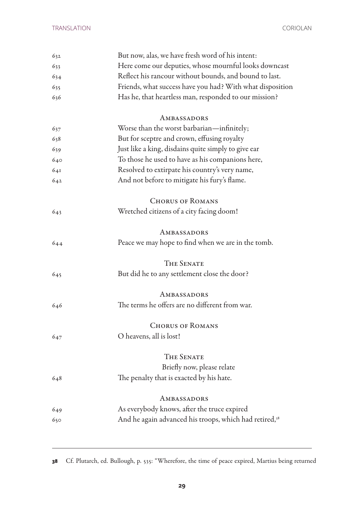| 632 | But now, alas, we have fresh word of his intent:                   |
|-----|--------------------------------------------------------------------|
| 633 | Here come our deputies, whose mournful looks downcast              |
| 634 | Reflect his rancour without bounds, and bound to last.             |
| 635 | Friends, what success have you had? With what disposition          |
| 636 | Has he, that heartless man, responded to our mission?              |
|     | AMBASSADORS                                                        |
| 637 | Worse than the worst barbarian—infinitely;                         |
| 638 | But for sceptre and crown, effusing royalty                        |
| 639 | Just like a king, disdains quite simply to give ear                |
| 640 | To those he used to have as his companions here,                   |
| 641 | Resolved to extirpate his country's very name,                     |
| 642 | And not before to mitigate his fury's flame.                       |
|     | <b>CHORUS OF ROMANS</b>                                            |
| 643 | Wretched citizens of a city facing doom!                           |
|     | AMBASSADORS                                                        |
| 644 | Peace we may hope to find when we are in the tomb.                 |
|     | <b>THE SENATE</b>                                                  |
| 645 | But did he to any settlement close the door?                       |
|     | AMBASSADORS                                                        |
| 646 | The terms he offers are no different from war.                     |
|     | <b>CHORUS OF ROMANS</b>                                            |
| 647 | O heavens, all is lost!                                            |
|     | <b>THE SENATE</b>                                                  |
|     | Briefly now, please relate                                         |
| 648 | The penalty that is exacted by his hate.                           |
|     | AMBASSADORS                                                        |
| 649 | As everybody knows, after the truce expired                        |
| 650 | And he again advanced his troops, which had retired, <sup>38</sup> |
|     |                                                                    |

Cf. Plutarch, ed. Bullough, p. 535: "Wherefore, the time of peace expired, Martius being returned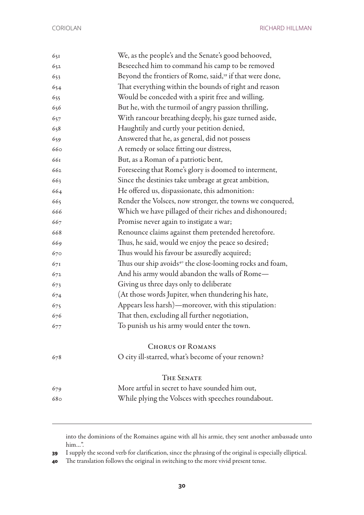CORIOLAN RICHARD HILLMAN

| 651 | We, as the people's and the Senate's good behooved,                  |
|-----|----------------------------------------------------------------------|
| 652 | Beseeched him to command his camp to be removed                      |
| 653 | Beyond the frontiers of Rome, said, <sup>39</sup> if that were done, |
| 654 | That everything within the bounds of right and reason                |
| 655 | Would be conceded with a spirit free and willing.                    |
| 656 | But he, with the turmoil of angry passion thrilling,                 |
| 657 | With rancour breathing deeply, his gaze turned aside,                |
| 658 | Haughtily and curtly your petition denied,                           |
| 659 | Answered that he, as general, did not possess                        |
| 660 | A remedy or solace fitting our distress,                             |
| 661 | But, as a Roman of a patriotic bent,                                 |
| 662 | Foreseeing that Rome's glory is doomed to interment,                 |
| 663 | Since the destinies take umbrage at great ambition,                  |
| 664 | He offered us, dispassionate, this admonition:                       |
| 665 | Render the Volsces, now stronger, the towns we conquered,            |
| 666 | Which we have pillaged of their riches and dishonoured;              |
| 667 | Promise never again to instigate a war;                              |
| 668 | Renounce claims against them pretended heretofore.                   |
| 669 | Thus, he said, would we enjoy the peace so desired;                  |
| 670 | Thus would his favour be assuredly acquired;                         |
| 671 | Thus our ship avoids <sup>40</sup> the close-looming rocks and foam, |
| 672 | And his army would abandon the walls of Rome—                        |
| 673 | Giving us three days only to deliberate                              |
| 674 | (At those words Jupiter, when thundering his hate,                   |
| 675 | Appears less harsh)—moreover, with this stipulation:                 |
| 676 | That then, excluding all further negotiation,                        |
| 677 | To punish us his army would enter the town.                          |
|     | <b>CHORUS OF ROMANS</b>                                              |
| 678 | O city ill-starred, what's become of your renown?                    |
|     | <b>THE SENATE</b>                                                    |
| 679 | More artful in secret to have sounded him out,                       |
| 680 | While plying the Volsces with speeches roundabout.                   |
|     |                                                                      |

into the dominions of the Romaines againe with all his armie, they sent another ambassade unto him…".

I supply the second verb for clarification, since the phrasing of the original is especially elliptical.

The translation follows the original in switching to the more vivid present tense.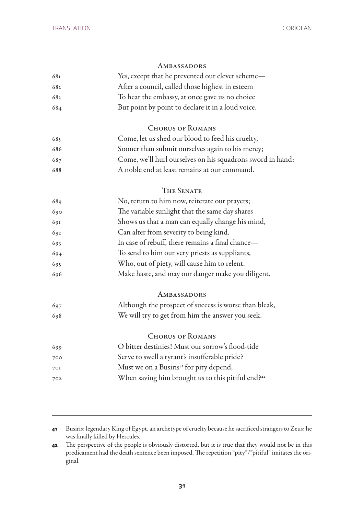## Ambassadors Yes, except that he prevented our clever scheme— After a council, called those highest in esteem To hear the embassy, at once gave us no choice But point by point to declare it in a loud voice. Chorus of Romans Come, let us shed our blood to feed his cruelty, Sooner than submit ourselves again to his mercy; Come, we'll hurl ourselves on his squadrons sword in hand: A noble end at least remains at our command. THE SENATE No, return to him now, reiterate our prayers; The variable sunlight that the same day shares Shows us that a man can equally change his mind, Can alter from severity to being kind. In case of rebuff, there remains a final chance— To send to him our very priests as suppliants, Who, out of piety, will cause him to relent. Make haste, and may our danger make you diligent. **AMBASSADORS**  Although the prospect of success is worse than bleak, We will try to get from him the answer you seek. CHORUS OF ROMANS O bitter destinies! Must our sorrow's flood-tide Serve to swell a tyrant's insufferable pride? Must we on a Busiris41 for pity depend, When saving him brought us to this pitiful end?<sup>42</sup>

 Busiris: legendary King of Egypt, an archetype of cruelty because he sacrificed strangers to Zeus; he was finally killed by Hercules.

 The perspective of the people is obviously distorted, but it is true that they would not be in this predicament had the death sentence been imposed. The repetition "pity"/"pitiful" imitates the original.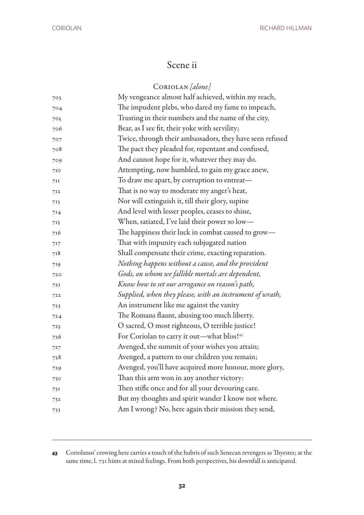## Scene ii

## Coriolan *[alone]*

| 703 | My vengeance almost half achieved, within my reach,      |
|-----|----------------------------------------------------------|
| 704 | The impudent plebs, who dared my fame to impeach,        |
| 705 | Trusting in their numbers and the name of the city,      |
| 706 | Bear, as I see fit, their yoke with servility;           |
| 707 | Twice, through their ambassadors, they have seen refused |
| 708 | The pact they pleaded for, repentant and confused,       |
| 709 | And cannot hope for it, whatever they may do.            |
| 710 | Attempting, now humbled, to gain my grace anew,          |
| 7II | To draw me apart, by corruption to entreat—              |
| 712 | That is no way to moderate my anger's heat,              |
| 713 | Nor will extinguish it, till their glory, supine         |
| 714 | And level with lesser peoples, ceases to shine,          |
| 715 | When, satiated, I've laid their power so low-            |
| 716 | The happiness their luck in combat caused to grow-       |
| 717 | That with impunity each subjugated nation                |
| 718 | Shall compensate their crime, exacting reparation.       |
| 719 | Nothing happens without a cause, and the provident       |
| 720 | Gods, on whom we fallible mortals are dependent,         |
| 72I | Know how to set our arrogance on reason's path,          |
| 722 | Supplied, when they please, with an instrument of wrath, |
| 723 | An instrument like me against the vanity                 |
| 724 | The Romans flaunt, abusing too much liberty.             |
| 725 | O sacred, O most righteous, O terrible justice!          |
| 726 | For Coriolan to carry it out-what bliss! <sup>43</sup>   |
| 727 | Avenged, the summit of your wishes you attain;           |
| 728 | Avenged, a pattern to our children you remain;           |
| 729 | Avenged, you'll have acquired more honour, more glory,   |
| 730 | Than this arm won in any another victory:                |
| 731 | Then stifle once and for all your devouring care.        |
| 732 | But my thoughts and spirit wander I know not where.      |
| 733 | Am I wrong? No, here again their mission they send,      |
|     |                                                          |

 Coriolanus' crowing here carries a touch of the hubris of such Senecan revengers as Thyestes; at the same time, l. 731 hints at mixed feelings. From both perspectives, his downfall is anticipated.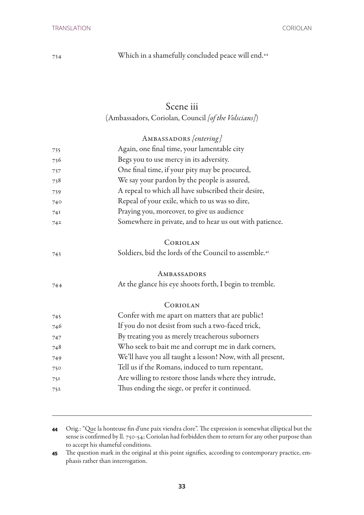Which in a shamefully concluded peace will end.<sup>44</sup>

## Scene iii

## (Ambassadors, Coriolan, Council *[of the Volscians]*)

|     | AMBASSADORS [entering]                                            |
|-----|-------------------------------------------------------------------|
| 735 | Again, one final time, your lamentable city                       |
| 736 | Begs you to use mercy in its adversity.                           |
| 737 | One final time, if your pity may be procured,                     |
| 738 | We say your pardon by the people is assured,                      |
| 739 | A repeal to which all have subscribed their desire,               |
| 740 | Repeal of your exile, which to us was so dire,                    |
| 74I | Praying you, moreover, to give us audience                        |
| 742 | Somewhere in private, and to hear us out with patience.           |
|     | CORIOLAN                                                          |
| 743 | Soldiers, bid the lords of the Council to assemble. <sup>45</sup> |
|     | AMBASSADORS                                                       |
| 744 | At the glance his eye shoots forth, I begin to tremble.           |
|     | CORIOLAN                                                          |
| 745 | Confer with me apart on matters that are public!                  |
| 746 | If you do not desist from such a two-faced trick,                 |
| 747 | By treating you as merely treacherous suborners                   |
| 748 | Who seek to bait me and corrupt me in dark corners,               |
| 749 | We'll have you all taught a lesson! Now, with all present,        |
| 750 | Tell us if the Romans, induced to turn repentant,                 |
| 751 | Are willing to restore those lands where they intrude,            |
| 752 | Thus ending the siege, or prefer it continued.                    |
|     |                                                                   |

 Orig.: "Que la honteuse fin d'une paix viendra clore". The expression is somewhat elliptical but the sense is confirmed by ll. 750-54; Coriolan had forbidden them to return for any other purpose than to accept his shameful conditions.

 The question mark in the original at this point signifies, according to contemporary practice, emphasis rather than interrogation.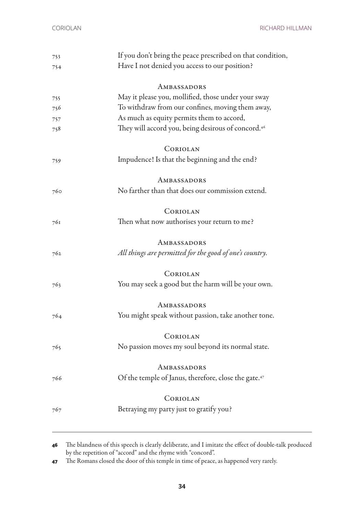| 753 | If you don't bring the peace prescribed on that condition,       |
|-----|------------------------------------------------------------------|
| 754 | Have I not denied you access to our position?                    |
|     |                                                                  |
|     | AMBASSADORS                                                      |
| 755 | May it please you, mollified, those under your sway              |
| 756 | To withdraw from our confines, moving them away,                 |
| 757 | As much as equity permits them to accord,                        |
| 758 | They will accord you, being desirous of concord. <sup>46</sup>   |
|     | CORIOLAN                                                         |
|     |                                                                  |
| 759 | Impudence! Is that the beginning and the end?                    |
|     | AMBASSADORS                                                      |
| 760 | No farther than that does our commission extend.                 |
|     |                                                                  |
|     | CORIOLAN                                                         |
| 761 | Then what now authorises your return to me?                      |
|     |                                                                  |
|     | AMBASSADORS                                                      |
| 762 | All things are permitted for the good of one's country.          |
|     |                                                                  |
|     | CORIOLAN                                                         |
| 763 | You may seek a good but the harm will be your own.               |
|     | AMBASSADORS                                                      |
|     | You might speak without passion, take another tone.              |
| 764 |                                                                  |
|     | CORIOLAN                                                         |
| 765 | No passion moves my soul beyond its normal state.                |
|     |                                                                  |
|     | AMBASSADORS                                                      |
| 766 | Of the temple of Janus, therefore, close the gate. <sup>47</sup> |
|     |                                                                  |
|     | CORIOLAN                                                         |
| 767 | Betraying my party just to gratify you?                          |
|     |                                                                  |
|     |                                                                  |

**<sup>46</sup>** The blandness of this speech is clearly deliberate, and I imitate the effect of double-talk produced by the repetition of "accord" and the rhyme with "concord".

**<sup>47</sup>** The Romans closed the door of this temple in time of peace, as happened very rarely.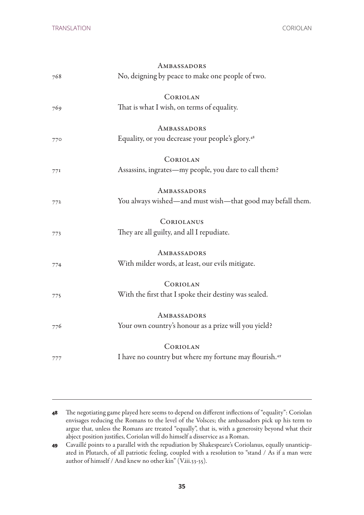|     | AMBASSADORS                                                        |
|-----|--------------------------------------------------------------------|
| 768 | No, deigning by peace to make one people of two.                   |
|     | CORIOLAN                                                           |
| 769 | That is what I wish, on terms of equality.                         |
|     | AMBASSADORS                                                        |
| 770 | Equality, or you decrease your people's glory. <sup>48</sup>       |
|     | CORIOLAN                                                           |
| 77I | Assassins, ingrates—my people, you dare to call them?              |
|     | AMBASSADORS                                                        |
| 772 | You always wished—and must wish—that good may befall them.         |
|     | CORIOLANUS                                                         |
| 773 | They are all guilty, and all I repudiate.                          |
|     | AMBASSADORS                                                        |
| 774 | With milder words, at least, our evils mitigate.                   |
|     | CORIOLAN                                                           |
| 775 | With the first that I spoke their destiny was sealed.              |
|     | AMBASSADORS                                                        |
| 776 | Your own country's honour as a prize will you yield?               |
|     | CORIOLAN                                                           |
| 777 | I have no country but where my fortune may flourish. <sup>49</sup> |
|     |                                                                    |

**<sup>48</sup>** The negotiating game played here seems to depend on different inflections of "equality": Coriolan envisages reducing the Romans to the level of the Volsces; the ambassadors pick up his term to argue that, unless the Romans are treated "equally", that is, with a generosity beyond what their abject position justifies, Coriolan will do himself a disservice as a Roman.

**<sup>49</sup>** Cavaillé points to a parallel with the repudiation by Shakespeare's Coriolanus, equally unanticipated in Plutarch, of all patriotic feeling, coupled with a resolution to "stand / As if a man were author of himself / And knew no other kin" (V.iii.33-35).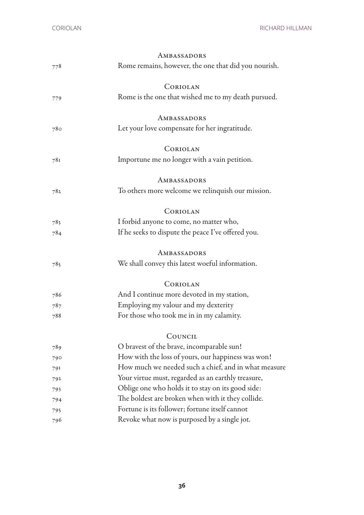|     | AMBASSADORS                                          |
|-----|------------------------------------------------------|
| 778 | Rome remains, however, the one that did you nourish. |
|     | CORIOLAN                                             |
| 779 | Rome is the one that wished me to my death pursued.  |
|     | AMBASSADORS                                          |
| 780 | Let your love compensate for her ingratitude.        |
|     | CORIOLAN                                             |
| 781 | Importune me no longer with a vain petition.         |
|     | AMBASSADORS                                          |
| 782 | To others more welcome we relinquish our mission.    |
|     | CORIOLAN                                             |
| 783 | I forbid anyone to come, no matter who,              |
| 784 | If he seeks to dispute the peace I've offered you.   |
|     | AMBASSADORS                                          |
| 785 | We shall convey this latest woeful information.      |
|     | CORIOLAN                                             |
| 786 | And I continue more devoted in my station,           |
| 787 | Employing my valour and my dexterity                 |
| 788 | For those who took me in in my calamity.             |
|     | COUNCIL                                              |
| 789 | O bravest of the brave, incomparable sun!            |
| 790 | How with the loss of yours, our happiness was won!   |
| 791 | How much we needed such a chief, and in what measure |
| 792 | Your virtue must, regarded as an earthly treasure,   |
| 793 | Oblige one who holds it to stay on its good side:    |
| 794 | The boldest are broken when with it they collide.    |
| 795 | Fortune is its follower; fortune itself cannot       |
| 796 | Revoke what now is purposed by a single jot.         |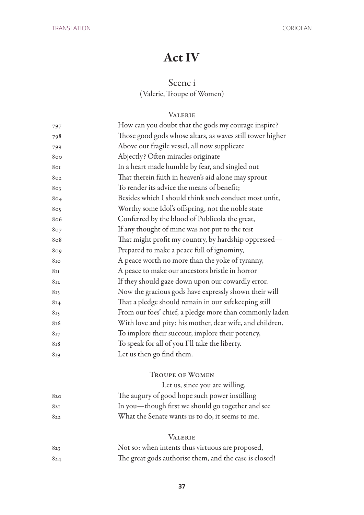## Act IV

### Scene i

(Valerie, Troupe of Women)

#### **VALERIE**

| 797            | How can you doubt that the gods my courage inspire?       |
|----------------|-----------------------------------------------------------|
| 798            | Those good gods whose altars, as waves still tower higher |
| 799            | Above our fragile vessel, all now supplicate              |
| 800            | Abjectly? Often miracles originate                        |
| 8 <sub>0</sub> | In a heart made humble by fear, and singled out           |
| 802            | That therein faith in heaven's aid alone may sprout       |
| 803            | To render its advice the means of benefit;                |
| 804            | Besides which I should think such conduct most unfit,     |
| 805            | Worthy some Idol's offspring, not the noble state         |
| 806            | Conferred by the blood of Publicola the great,            |
| 807            | If any thought of mine was not put to the test            |
| 808            | That might profit my country, by hardship oppressed-      |
| 809            | Prepared to make a peace full of ignominy,                |
| 810            | A peace worth no more than the yoke of tyranny,           |
| 811            | A peace to make our ancestors bristle in horror           |
| 812            | If they should gaze down upon our cowardly error.         |
| 813            | Now the gracious gods have expressly shown their will     |
| 814            | That a pledge should remain in our safekeeping still      |
| 815            | From our foes' chief, a pledge more than commonly laden   |
| 816            | With love and pity: his mother, dear wife, and children.  |
| 817            | To implore their succour, implore their potency,          |
| 818            | To speak for all of you I'll take the liberty.            |
| 819            | Let us then go find them.                                 |
|                |                                                           |

#### Troupe of Women

 Let us, since you are willing, The augury of good hope such power instilling In you—though first we should go together and see What the Senate wants us to do, it seems to me.

#### Valerie

| 823 | Not so: when intents thus virtuous are proposed,       |
|-----|--------------------------------------------------------|
| 824 | The great gods authorise them, and the case is closed! |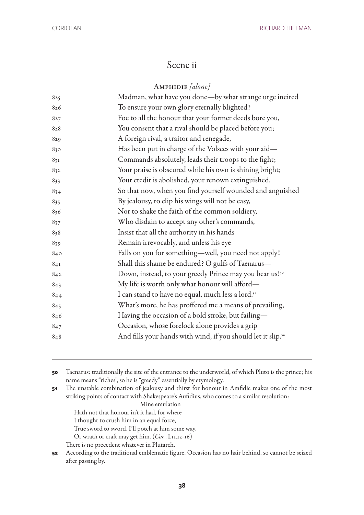## Scene ii

#### Amphidie *[alone]*

| 825 | Madman, what have you done-by what strange urge incited                  |
|-----|--------------------------------------------------------------------------|
| 826 | To ensure your own glory eternally blighted?                             |
| 827 | Foe to all the honour that your former deeds bore you,                   |
| 828 | You consent that a rival should be placed before you;                    |
| 829 | A foreign rival, a traitor and renegade,                                 |
| 830 | Has been put in charge of the Volsces with your aid-                     |
| 831 | Commands absolutely, leads their troops to the fight;                    |
| 832 | Your praise is obscured while his own is shining bright;                 |
| 833 | Your credit is abolished, your renown extinguished.                      |
| 834 | So that now, when you find yourself wounded and anguished                |
| 835 | By jealousy, to clip his wings will not be easy,                         |
| 836 | Nor to shake the faith of the common soldiery,                           |
| 837 | Who disdain to accept any other's commands,                              |
| 838 | Insist that all the authority in his hands                               |
| 839 | Remain irrevocably, and unless his eye                                   |
| 840 | Falls on you for something-well, you need not apply!                     |
| 84I | Shall this shame be endured? O gulfs of Taenarus-                        |
| 842 | Down, instead, to your greedy Prince may you bear us! <sup>50</sup>      |
| 843 | My life is worth only what honour will afford-                           |
| 844 | I can stand to have no equal, much less a lord. <sup>51</sup>            |
| 845 | What's more, he has proffered me a means of prevailing,                  |
| 846 | Having the occasion of a bold stroke, but failing-                       |
| 847 | Occasion, whose forelock alone provides a grip                           |
| 848 | And fills your hands with wind, if you should let it slip. <sup>52</sup> |
|     |                                                                          |

 Taenarus: traditionally the site of the entrance to the underworld, of which Pluto is the prince; his name means "riches", so he is "greedy" essentially by etymology.

 The unstable combination of jealousy and thirst for honour in Amfidie makes one of the most striking points of contact with Shakespeare's Aufidius, who comes to a similar resolution:

Mine emulation

Hath not that honour in't it had, for where

I thought to crush him in an equal force,

True sword to sword, I'll potch at him some way,

Or wrath or craft may get him. (*Cor.*, I.11.12-16)

There is no precedent whatever in Plutarch.

 According to the traditional emblematic figure, Occasion has no hair behind, so cannot be seized after passing by.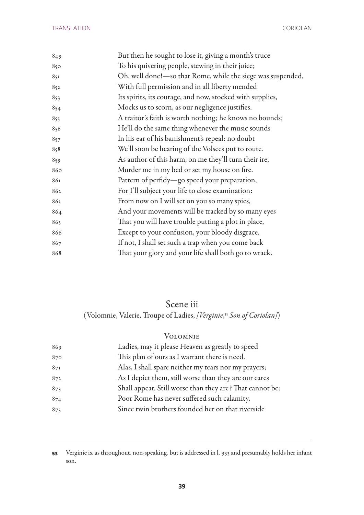| 849 | But then he sought to lose it, giving a month's truce        |
|-----|--------------------------------------------------------------|
| 850 | To his quivering people, stewing in their juice;             |
| 851 | Oh, well done!- so that Rome, while the siege was suspended, |
| 852 | With full permission and in all liberty mended               |
| 853 | Its spirits, its courage, and now, stocked with supplies,    |
| 854 | Mocks us to scorn, as our negligence justifies.              |
| 855 | A traitor's faith is worth nothing; he knows no bounds;      |
| 856 | He'll do the same thing whenever the music sounds            |
| 857 | In his ear of his banishment's repeal: no doubt              |
| 858 | We'll soon be hearing of the Volsces put to route.           |
| 859 | As author of this harm, on me they'll turn their ire,        |
| 860 | Murder me in my bed or set my house on fire.                 |
| 861 | Pattern of perfidy-go speed your preparation,                |
| 862 | For I'll subject your life to close examination:             |
| 863 | From now on I will set on you so many spies,                 |
| 864 | And your movements will be tracked by so many eyes           |
| 865 | That you will have trouble putting a plot in place,          |
| 866 | Except to your confusion, your bloody disgrace.              |
| 867 | If not, I shall set such a trap when you come back           |
| 868 | That your glory and your life shall both go to wrack.        |
|     |                                                              |

## Scene iii

(Volomnie, Valerie, Troupe of Ladies, *[Verginie*, <sup>53</sup> *Son of Coriolan]*)

#### Volomnie

| 869 | Ladies, may it please Heaven as greatly to speed         |
|-----|----------------------------------------------------------|
| 870 | This plan of ours as I warrant there is need.            |
| 87I | Alas, I shall spare neither my tears nor my prayers;     |
| 872 | As I depict them, still worse than they are our cares    |
| 873 | Shall appear. Still worse than they are? That cannot be: |
| 874 | Poor Rome has never suffered such calamity,              |
| 875 | Since twin brothers founded her on that riverside        |
|     |                                                          |

 Verginie is, as throughout, non-speaking, but is addressed in l. 933 and presumably holds her infant son.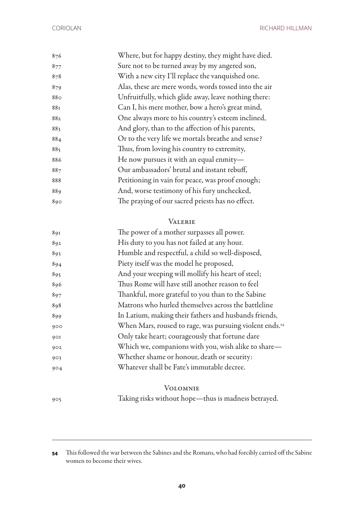| 876 | Where, but for happy destiny, they might have died.   |
|-----|-------------------------------------------------------|
| 877 | Sure not to be turned away by my angered son,         |
| 878 | With a new city I'll replace the vanquished one.      |
| 879 | Alas, these are mere words, words tossed into the air |
| 880 | Unfruitfully, which glide away, leave nothing there:  |
| 881 | Can I, his mere mother, bow a hero's great mind,      |
| 882 | One always more to his country's esteem inclined,     |
| 883 | And glory, than to the affection of his parents,      |
| 884 | Or to the very life we mortals breathe and sense?     |
| 885 | Thus, from loving his country to extremity,           |
| 886 | He now pursues it with an equal enmity-               |
| 887 | Our ambassadors' brutal and instant rebuff,           |
| 888 | Petitioning in vain for peace, was proof enough;      |
| 889 | And, worse testimony of his fury unchecked,           |
| 890 | The praying of our sacred priests has no effect.      |
|     |                                                       |

#### Valerie

| 891 | The power of a mother surpasses all power.              |
|-----|---------------------------------------------------------|
| 892 | His duty to you has not failed at any hour.             |
| 893 | Humble and respectful, a child so well-disposed,        |
| 894 | Piety itself was the model he proposed,                 |
| 895 | And your weeping will mollify his heart of steel;       |
| 896 | Thus Rome will have still another reason to feel        |
| 897 | Thankful, more grateful to you than to the Sabine       |
| 898 | Matrons who hurled themselves across the battleline     |
| 899 | In Latium, making their fathers and husbands friends,   |
| 900 | When Mars, roused to rage, was pursuing violent ends.54 |
| 901 | Only take heart; courageously that fortune dare         |
| 902 | Which we, companions with you, wish alike to share-     |
| 903 | Whether shame or honour, death or security:             |
| 904 | Whatever shall be Fate's immutable decree.              |
|     |                                                         |

#### Volomnie

Taking risks without hope—thus is madness betrayed.

 This followed the war between the Sabines and the Romans, who had forcibly carried off the Sabine women to become their wives.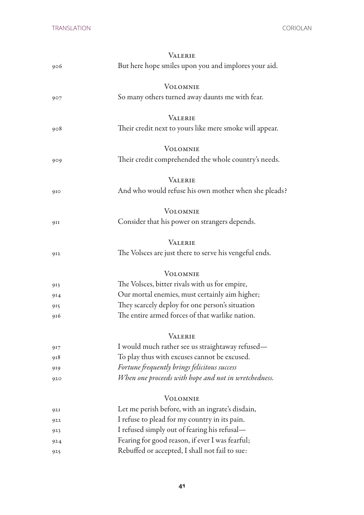|     | <b>VALERIE</b>                                          |
|-----|---------------------------------------------------------|
| 906 | But here hope smiles upon you and implores your aid.    |
|     | <b>VOLOMNIE</b>                                         |
| 907 | So many others turned away daunts me with fear.         |
|     | <b>VALERIE</b>                                          |
| 908 | Their credit next to yours like mere smoke will appear. |
|     | <b>VOLOMNIE</b>                                         |
| 909 | Their credit comprehended the whole country's needs.    |
|     | <b>VALERIE</b>                                          |
| 910 | And who would refuse his own mother when she pleads?    |
|     | <b>VOLOMNIE</b>                                         |
| 911 | Consider that his power on strangers depends.           |
|     | <b>VALERIE</b>                                          |
| 912 | The Volsces are just there to serve his vengeful ends.  |
|     | <b>VOLOMNIE</b>                                         |
| 913 | The Volsces, bitter rivals with us for empire,          |
| 914 | Our mortal enemies, must certainly aim higher;          |
| 915 | They scarcely deploy for one person's situation         |
| 916 | The entire armed forces of that warlike nation.         |
|     | <b>VALERIE</b>                                          |
| 917 | I would much rather see us straightaway refused-        |
| 918 | To play thus with excuses cannot be excused.            |
| 919 | Fortune frequently brings felicitous success            |
| 920 | When one proceeds with hope and not in wretchedness.    |
|     | <b>VOLOMNIE</b>                                         |
| 921 | Let me perish before, with an ingrate's disdain,        |
| 922 | I refuse to plead for my country in its pain.           |
| 923 | I refused simply out of fearing his refusal-            |
| 924 | Fearing for good reason, if ever I was fearful;         |
| 925 | Rebuffed or accepted, I shall not fail to sue:          |
|     |                                                         |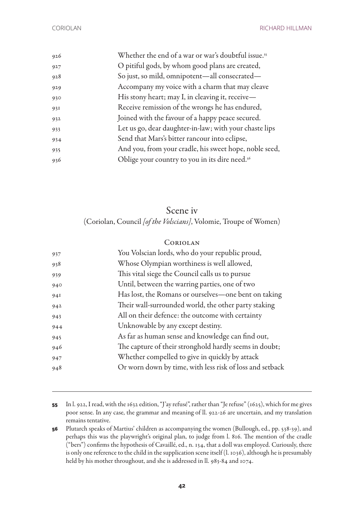| 926 | Whether the end of a war or war's doubtful issue. <sup>55</sup> |
|-----|-----------------------------------------------------------------|
| 927 | O pitiful gods, by whom good plans are created,                 |
| 928 | So just, so mild, omnipotent-all consecrated-                   |
| 929 | Accompany my voice with a charm that may cleave                 |
| 930 | His stony heart; may I, in cleaving it, receive-                |
| 931 | Receive remission of the wrongs he has endured,                 |
| 932 | Joined with the favour of a happy peace secured.                |
| 933 | Let us go, dear daughter-in-law; with your chaste lips          |
| 934 | Send that Mars's bitter rancour into eclipse,                   |
| 935 | And you, from your cradle, his sweet hope, noble seed,          |
| 936 | Oblige your country to you in its dire need. <sup>56</sup>      |
|     |                                                                 |

### Scene iv (Coriolan, Council *[of the Volscians]*, Volomie, Troupe of Women)

## Coriolan You Volscian lords, who do your republic proud, Whose Olympian worthiness is well allowed, This vital siege the Council calls us to pursue Until, between the warring parties, one of two Has lost, the Romans or ourselves—one bent on taking Their wall-surrounded world, the other party staking All on their defence: the outcome with certainty Unknowable by any except destiny. As far as human sense and knowledge can find out, The capture of their stronghold hardly seems in doubt; Whether compelled to give in quickly by attack Or worn down by time, with less risk of loss and setback

- In l. 922, I read, with the 1632 edition, "J'ay refusé", rather than "Je refuse" (1625), which for me gives poor sense. In any case, the grammar and meaning of ll. 922-26 are uncertain, and my translation remains tentative.
- Plutarch speaks of Martius' children as accompanying the women (Bullough, ed., pp. 538-39), and perhaps this was the playwright's original plan, to judge from l. 816. The mention of the cradle ("bers") confirms the hypothesis of Cavaillé, ed., n. 134, that a doll was employed. Curiously, there is only one reference to the child in the supplication scene itself (l. 1036), although he is presumably held by his mother throughout, and she is addressed in ll. 983-84 and 1074.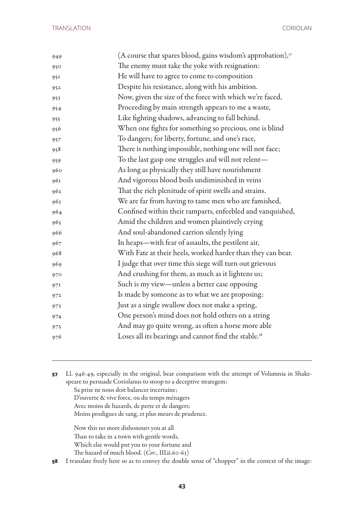| 949 | (A course that spares blood, gains wisdom's approbation), $57$   |
|-----|------------------------------------------------------------------|
| 950 | The enemy must take the yoke with resignation:                   |
| 951 | He will have to agree to come to composition                     |
| 952 | Despite his resistance, along with his ambition.                 |
| 953 | Now, given the size of the force with which we're faced,         |
| 954 | Proceeding by main strength appears to me a waste,               |
| 955 | Like fighting shadows, advancing to fall behind.                 |
| 956 | When one fights for something so precious, one is blind          |
| 957 | To dangers; for liberty, fortune, and one's race,                |
| 958 | There is nothing impossible, nothing one will not face;          |
| 959 | To the last gasp one struggles and will not relent-              |
| 960 | As long as physically they still have nourishment                |
| 961 | And vigorous blood boils undiminished in veins                   |
| 962 | That the rich plenitude of spirit swells and strains.            |
| 963 | We are far from having to tame men who are famished,             |
| 964 | Confined within their ramparts, enfeebled and vanquished,        |
| 965 | Amid the children and women plaintively crying                   |
| 966 | And soul-abandoned carrion silently lying                        |
| 967 | In heaps—with fear of assaults, the pestilent air,               |
| 968 | With Fate at their heels, worked harder than they can bear.      |
| 969 | I judge that over time this siege will turn out grievous         |
| 970 | And crushing for them, as much as it lightens us;                |
| 971 | Such is my view—unless a better case opposing                    |
| 972 | Is made by someone as to what we are proposing:                  |
| 973 | Just as a single swallow does not make a spring,                 |
| 974 | One person's mind does not hold others on a string               |
| 975 | And may go quite wrong, as often a horse more able               |
| 976 | Loses all its bearings and cannot find the stable. <sup>58</sup> |
|     |                                                                  |

 Ll. 946-49, especially in the original, bear comparison with the attempt of Volumnia in Shakespeare to persuade Coriolanus to stoop to a deceptive strategem: Sa prise ne nous doit balancer incertaine; D'ouverte & vive force, ou du temps ménagers Avec moins de hazards, de perte et de dangers; Moins prodigues de sang, et plus meurs de prudence. Now this no more dishonours you at all Than to take in a town with gentle words, Which else would put you to your fortune and The hazard of much blood. (*Cor*., III.ii.60-63)

I translate freely here so as to convey the double sense of "chopper" in the context of the image: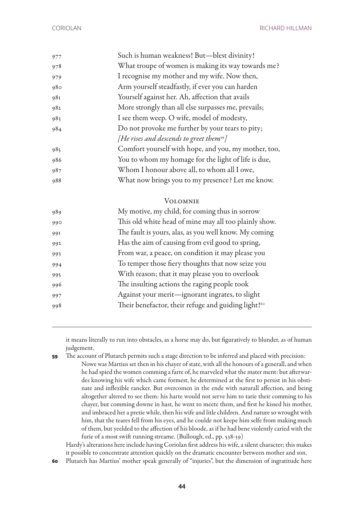| 977 | Such is human weakness! But-blest divinity!          |
|-----|------------------------------------------------------|
| 978 | What troupe of women is making its way towards me?   |
| 979 | I recognise my mother and my wife. Now then,         |
| 980 | Arm yourself steadfastly, if ever you can harden     |
| 981 | Yourself against her. Ah, affection that avails      |
| 982 | More strongly than all else surpasses me, prevails;  |
| 983 | I see them weep. O wife, model of modesty,           |
| 984 | Do not provoke me further by your tears to pity;     |
|     | [He rises and descends to greet them <sup>59</sup> ] |
| 985 | Comfort yourself with hope, and you, my mother, too, |
| 986 | You to whom my homage for the light of life is due,  |
| 987 | Whom I honour above all, to whom all I owe,          |
| 988 | What now brings you to my presence? Let me know.     |
|     | VOLOMNIE                                             |

## 989 My motive, my child, for coming thus in sorrow 990 This old white head of mine may all too plainly show. 991 The fault is yours, alas, as you well know. My coming 992 Has the aim of causing from evil good to spring, 993 From war, a peace, on condition it may please you 994 To temper those fiery thoughts that now seize you 995 With reason; that it may please you to overlook 996 The insulting actions the raging people took 997 Against your merit—ignorant ingrates, to slight 998 Their benefactor, their refuge and guiding light!<sup>60</sup>

it means literally to run into obstacles, as a horse may do, but figuratively to blunder, as of human judgement.

**59** The account of Plutarch permits such a stage direction to be inferred and placed with precision: Nowe was Martius set then in his chayer of state, with all the honours of a generall, and when he had spied the women comming a farre of, he marveled what the mater ment: but afterwardes knowing his wife which came formest, he determined at the first to persist in his obstinate and inflexible rancker. But overcomen in the ende with naturall affection, and being altogether altered to see them: his harte would not serve him to tarie their comming to his chayer, but comming downe in hast, he went to meete them, and first he kissed his mother, and imbraced her a pretie while, then his wife and litle children. And nature so wrought with him, that the teares fell from his eyes, and he coulde not keepe him selfe from making much of them, but yeelded to the affection of his bloode, as if he had bene violently caried with the furie of a most swift running streame. (Bullough, ed., pp. 538-39)

Hardy's alterations here include having Coriolan first address his wife, a silent character; this makes it possible to concentrate attention quickly on the dramatic encounter between mother and son.

**60** Plutarch has Martius' mother speak generally of "injuries", but the dimension of ingratitude here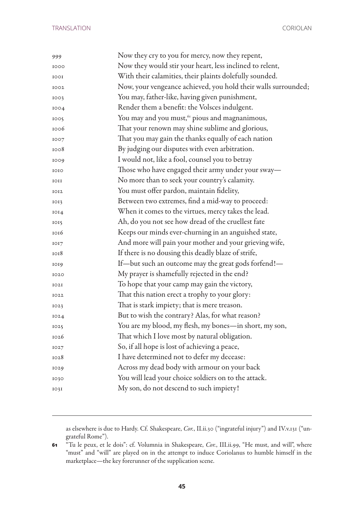| 999  | Now they cry to you for mercy, now they repent,                |
|------|----------------------------------------------------------------|
| 1000 | Now they would stir your heart, less inclined to relent,       |
| 1001 | With their calamities, their plaints dolefully sounded.        |
| 1002 | Now, your vengeance achieved, you hold their walls surrounded; |
| 1003 | You may, father-like, having given punishment,                 |
| 1004 | Render them a benefit: the Volsces indulgent.                  |
| 1005 | You may and you must, <sup>61</sup> pious and magnanimous,     |
| 1006 | That your renown may shine sublime and glorious,               |
| 1007 | That you may gain the thanks equally of each nation            |
| 1008 | By judging our disputes with even arbitration.                 |
| 1009 | I would not, like a fool, counsel you to betray                |
| 1010 | Those who have engaged their army under your sway-             |
| IOII | No more than to seek your country's calamity.                  |
| 1012 | You must offer pardon, maintain fidelity,                      |
| IOI3 | Between two extremes, find a mid-way to proceed:               |
| IOI4 | When it comes to the virtues, mercy takes the lead.            |
| IOI5 | Ah, do you not see how dread of the cruellest fate             |
| 1016 | Keeps our minds ever-churning in an anguished state,           |
| IOI7 | And more will pain your mother and your grieving wife,         |
| 1018 | If there is no dousing this deadly blaze of strife,            |
| 1019 | If-but such an outcome may the great gods forfend!-            |
| 1020 | My prayer is shamefully rejected in the end?                   |
| IO2I | To hope that your camp may gain the victory,                   |
| 1022 | That this nation erect a trophy to your glory:                 |
| IO23 | That is stark impiety; that is mere treason.                   |
| IO24 | But to wish the contrary? Alas, for what reason?               |
| 1025 | You are my blood, my flesh, my bones—in short, my son,         |
| 1026 | That which I love most by natural obligation.                  |
| IO27 | So, if all hope is lost of achieving a peace,                  |
| 1028 | I have determined not to defer my decease:                     |
| 1029 | Across my dead body with armour on your back                   |
| 1030 | You will lead your choice soldiers on to the attack.           |
| IO3I | My son, do not descend to such impiety!                        |
|      |                                                                |

as elsewhere is due to Hardy. Cf. Shakespeare, *Cor.*, II.ii.30 ("ingrateful injury") and IV.v.131 ("ungrateful Rome").

 "Tu le peux, et le dois": cf. Volumnia in Shakespeare, *Cor.*, III.ii.99, "He must, and will", where "must" and "will" are played on in the attempt to induce Coriolanus to humble himself in the marketplace—the key forerunner of the supplication scene.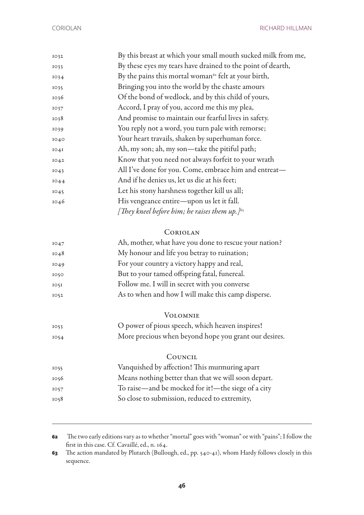| IO32 | By this breast at which your small mouth sucked milk from me,    |
|------|------------------------------------------------------------------|
| IO33 | By these eyes my tears have drained to the point of dearth,      |
| 1034 | By the pains this mortal woman <sup>62</sup> felt at your birth, |
| 1035 | Bringing you into the world by the chaste amours                 |
| 1036 | Of the bond of wedlock, and by this child of yours,              |
| IO37 | Accord, I pray of you, accord me this my plea,                   |
| 1038 | And promise to maintain our fearful lives in safety.             |
| 1039 | You reply not a word, you turn pale with remorse;                |
| 1040 | Your heart travails, shaken by superhuman force.                 |
| IO4I | Ah, my son; ah, my son—take the pitiful path;                    |
| IO42 | Know that you need not always forfeit to your wrath              |
| 1043 | All I've done for you. Come, embrace him and entreat-            |
| 1044 | And if he denies us, let us die at his feet;                     |
| 1045 | Let his stony harshness together kill us all;                    |
| 1046 | His vengeance entire—upon us let it fall.                        |
|      | [They kneel before him; he raises them up.] $^{63}$              |
|      |                                                                  |

#### Coriolan

| 1047 | Ah, mother, what have you done to rescue your nation? |
|------|-------------------------------------------------------|
| 1048 | My honour and life you betray to ruination;           |
| 1049 | For your country a victory happy and real,            |
| 1050 | But to your tamed offspring fatal, funereal.          |
| IO5I | Follow me. I will in secret with you converse         |
| 1052 | As to when and how I will make this camp disperse.    |

#### Volomnie

| IO <sub>53</sub> | O power of pious speech, which heaven inspires!       |
|------------------|-------------------------------------------------------|
| 1054             | More precious when beyond hope you grant our desires. |

#### **COUNCIL**

| 1055 | Vanquished by affection! This murmuring apart       |
|------|-----------------------------------------------------|
| 1056 | Means nothing better than that we will soon depart. |
| 1057 | To raise—and be mocked for it!—the siege of a city  |
| 1058 | So close to submission, reduced to extremity,       |

 The two early editions vary as to whether "mortal" goes with "woman" or with "pains"; I follow the first in this case. Cf. Cavaillé, ed., n. 164.

 The action mandated by Plutarch (Bullough, ed., pp. 540-41), whom Hardy follows closely in this sequence.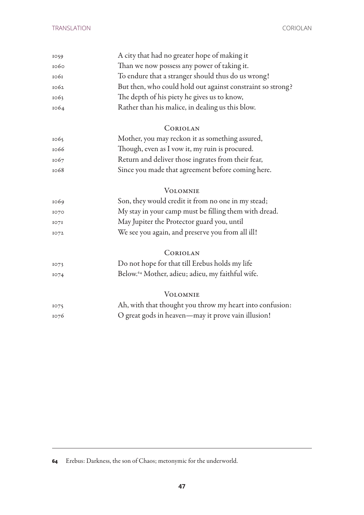| 1059 | A city that had no greater hope of making it                 |
|------|--------------------------------------------------------------|
| 1060 | Than we now possess any power of taking it.                  |
| 1061 | To endure that a stranger should thus do us wrong!           |
| 1062 | But then, who could hold out against constraint so strong?   |
| 1063 | The depth of his piety he gives us to know,                  |
| 1064 | Rather than his malice, in dealing us this blow.             |
|      | CORIOLAN                                                     |
| 1065 | Mother, you may reckon it as something assured,              |
| 1066 | Though, even as I vow it, my ruin is procured.               |
| 1067 | Return and deliver those ingrates from their fear,           |
| 1068 | Since you made that agreement before coming here.            |
|      | <b>VOLOMNIE</b>                                              |
| 1069 | Son, they would credit it from no one in my stead;           |
| 1070 | My stay in your camp must be filling them with dread.        |
| IO7I | May Jupiter the Protector guard you, until                   |
| 1072 | We see you again, and preserve you from all ill!             |
|      | CORIOLAN                                                     |
| 1073 | Do not hope for that till Erebus holds my life               |
| 1074 | Below. <sup>64</sup> Mother, adieu; adieu, my faithful wife. |
|      | VOLOMNIE                                                     |
| 1075 | Ah, with that thought you throw my heart into confusion:     |
| 1076 | O great gods in heaven-may it prove vain illusion!           |

Erebus: Darkness, the son of Chaos; metonymic for the underworld.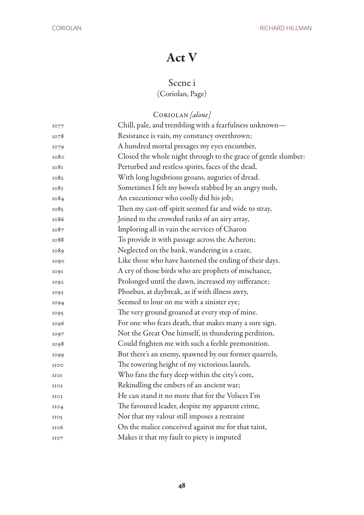## Act V

## Scene i

## (Coriolan, Page)

Coriolan *[alone]*

| 1077             | Chill, pale, and trembling with a fearfulness unknown—         |
|------------------|----------------------------------------------------------------|
| 1078             | Resistance is vain, my constancy overthrown;                   |
| 1079             | A hundred mortal presages my eyes encumber,                    |
| 1080             | Closed the whole night through to the grace of gentle slumber: |
| 1081             | Perturbed and restless spirits, faces of the dead,             |
| 1082             | With long lugubrious groans, auguries of dread.                |
| 1083             | Sometimes I felt my bowels stabbed by an angry mob,            |
| 1084             | An executioner who coolly did his job;                         |
| 1085             | Then my cast-off spirit seemed far and wide to stray,          |
| 1086             | Joined to the crowded ranks of an airy array,                  |
| 1087             | Imploring all in vain the services of Charon                   |
| 1088             | To provide it with passage across the Acheron;                 |
| 1089             | Neglected on the bank, wandering in a craze,                   |
| 1090             | Like those who have hastened the ending of their days.         |
| 1091             | A cry of those birds who are prophets of mischance,            |
| 1092             | Prolonged until the dawn, increased my sufferance;             |
| 1093             | Phoebus, at daybreak, as if with illness awry,                 |
| 1094             | Seemed to lour on me with a sinister eye;                      |
| 1095             | The very ground groaned at every step of mine.                 |
| 1096             | For one who fears death, that makes many a sure sign.          |
| 1097             | Not the Great One himself, in thundering perdition,            |
| 1098             | Could frighten me with such a feeble premonition.              |
| 1099             | But there's an enemy, spawned by our former quarrels,          |
| <b>IIOO</b>      | The towering height of my victorious laurels,                  |
| IIOI             | Who fans the fury deep within the city's core,                 |
| IIO <sub>2</sub> | Rekindling the embers of an ancient war;                       |
| IIO <sub>3</sub> | He can stand it no more that for the Volsces I'm               |
| 1104             | The favoured leader, despite my apparent crime,                |
| 1105             | Nor that my valour still imposes a restraint                   |
| 1106             | On the malice conceived against me for that taint,             |
| 1107             | Makes it that my fault to piety is imputed                     |
|                  |                                                                |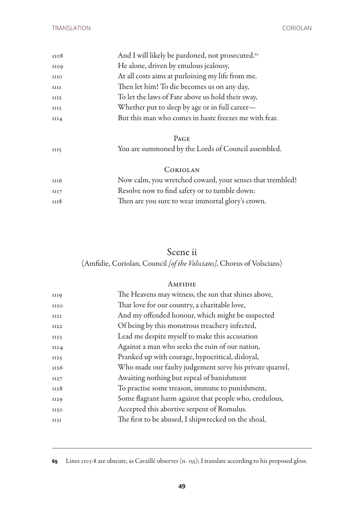| 1108 | And I will likely be pardoned, not prosecuted. <sup>65</sup> |
|------|--------------------------------------------------------------|
| 1109 | He alone, driven by emulous jealousy,                        |
| IIIO | At all costs aims at purloining my life from me.             |
| IIII | Then let him! To die becomes us on any day,                  |
| III2 | To let the laws of Fate above us hold their sway,            |
| III3 | Whether put to sleep by age or in full career—               |
| III4 | But this man who comes in haste freezes me with fear.        |
|      |                                                              |

|    | $P_{AGE}$                                           |
|----|-----------------------------------------------------|
| шs | You are summoned by the Lords of Council assembled. |

#### Coriolan

| III6        | Now calm, you wretched coward, your senses that trembled! |
|-------------|-----------------------------------------------------------|
| III7        | Resolve now to find safety or to tumble down:             |
| <b>III8</b> | Then are you sure to wear immortal glory's crown.         |

## Scene ii

(Amfidie, Coriolan, Council *[of the Volscians]*, Chorus of Volscians)

#### **AMFIDIE**

| 1119        | The Heavens may witness, the sun that shines above,      |
|-------------|----------------------------------------------------------|
| <b>II20</b> | That love for our country, a charitable love,            |
| II2I        | And my offended honour, which might be suspected         |
| II22        | Of being by this monstrous treachery infected,           |
| II23        | Lead me despite myself to make this accusation           |
| II24        | Against a man who seeks the ruin of our nation,          |
| II25        | Pranked up with courage, hypocritical, disloyal,         |
| 1126        | Who made our faulty judgement serve his private quarrel, |
| II27        | Awaiting nothing but repeal of banishment                |
| 1128        | To practise some treason, immune to punishment,          |
| 1129        | Some flagrant harm against that people who, credulous,   |
| 1130        | Accepted this abortive serpent of Romulus.               |
| II3I        | The first to be abused, I shipwrecked on the shoal,      |
|             |                                                          |

Lines 1103-8 are obscure, as Cavaillé observes (n. 155); I translate according to his proposed gloss.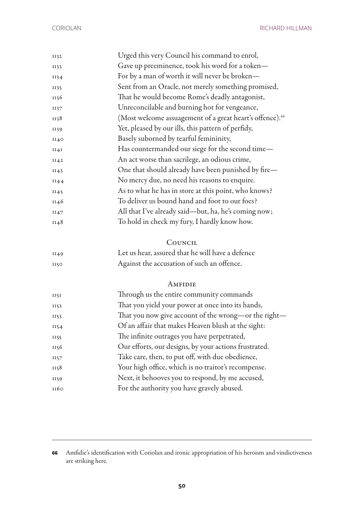| 1132 | Urged this very Council his command to enrol,                        |
|------|----------------------------------------------------------------------|
| II33 | Gave up preeminence, took his word for a token-                      |
| 1134 | For by a man of worth it will never be broken-                       |
| II35 | Sent from an Oracle, not merely something promised,                  |
| 1136 | That he would become Rome's deadly antagonist,                       |
| 1137 | Unreconcilable and burning hot for vengeance,                        |
| 1138 | (Most welcome assuagement of a great heart's offence). <sup>66</sup> |
| 1139 | Yet, pleased by our ills, this pattern of perfidy,                   |
| II40 | Basely suborned by tearful femininity,                               |
| II4I | Has countermanded our siege for the second time-                     |
| II42 | An act worse than sacrilege, an odious crime,                        |
| II43 | One that should already have been punished by fire-                  |
| II44 | No mercy due, no need his reasons to enquire.                        |
| 1145 | As to what he has in store at this point, who knows?                 |
| 1146 | To deliver us bound hand and foot to our foes?                       |
| II47 | All that I've already said—but, ha, he's coming now;                 |
| 1148 | To hold in check my fury, I hardly know how.                         |
|      | COUNCIL                                                              |
| II49 | Let us hear, assured that he will have a defence                     |
| 1150 | Against the accusation of such an offence.                           |
|      | AMFIDIE                                                              |
| II5I | Through us the entire community commands                             |
| II52 | That you yield your power at once into its hands,                    |
| 1153 | That you now give account of the wrong-or the right-                 |
| II54 | Of an affair that makes Heaven blush at the sight:                   |
| 1155 | The infinite outrages you have perpetrated,                          |
| 1156 | Our efforts, our designs, by your actions frustrated.                |
| 1157 | Take care, then, to put off, with due obedience,                     |
| 1158 | Your high office, which is no traitor's recompense.                  |
| 1159 | Next, it behooves you to respond, by me accused,                     |
| 1160 | For the authority you have gravely abused.                           |
|      |                                                                      |

 Amfidie's identification with Coriolan and ironic appropriation of his heroism and vindictiveness are striking here.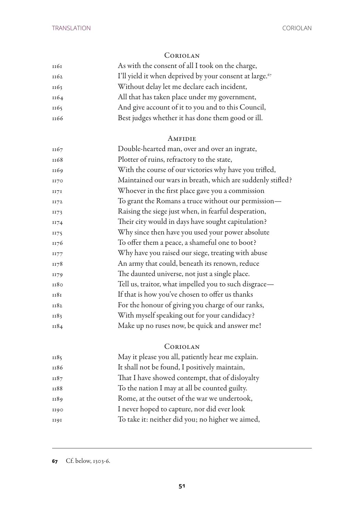#### Coriolan

| 1161 | As with the consent of all I took on the charge,                    |
|------|---------------------------------------------------------------------|
| II62 | I'll yield it when deprived by your consent at large. <sup>67</sup> |
| 1163 | Without delay let me declare each incident,                         |
| 1164 | All that has taken place under my government,                       |
| 1165 | And give account of it to you and to this Council,                  |
| 1166 | Best judges whether it has done them good or ill.                   |

#### **AMFIDIE**

| 1167 | Double-hearted man, over and over an ingrate,              |
|------|------------------------------------------------------------|
| 1168 | Plotter of ruins, refractory to the state,                 |
| 1169 | With the course of our victories why have you trifled,     |
| II70 | Maintained our wars in breath, which are suddenly stifled? |
| II7I | Whoever in the first place gave you a commission           |
| 1172 | To grant the Romans a truce without our permission-        |
| II73 | Raising the siege just when, in fearful desperation,       |
| 1174 | Their city would in days have sought capitulation?         |
| II75 | Why since then have you used your power absolute           |
| 1176 | To offer them a peace, a shameful one to boot?             |
| 1177 | Why have you raised our siege, treating with abuse         |
| 1178 | An army that could, beneath its renown, reduce             |
| 1179 | The daunted universe, not just a single place.             |
| 1180 | Tell us, traitor, what impelled you to such disgrace-      |
| 1181 | If that is how you've chosen to offer us thanks            |
| 1182 | For the honour of giving you charge of our ranks,          |
| 1183 | With myself speaking out for your candidacy?               |
| 1184 | Make up no ruses now, be quick and answer me!              |
|      |                                                            |

### Coriolan

| 1185 | May it please you all, patiently hear me explain. |
|------|---------------------------------------------------|
| 1186 | It shall not be found, I positively maintain,     |
| 1187 | That I have showed contempt, that of disloyalty   |
| II88 | To the nation I may at all be counted guilty.     |
| 1189 | Rome, at the outset of the war we undertook,      |
| 1190 | I never hoped to capture, nor did ever look       |
| 1191 | To take it: neither did you; no higher we aimed,  |

Cf. below, 1303-6.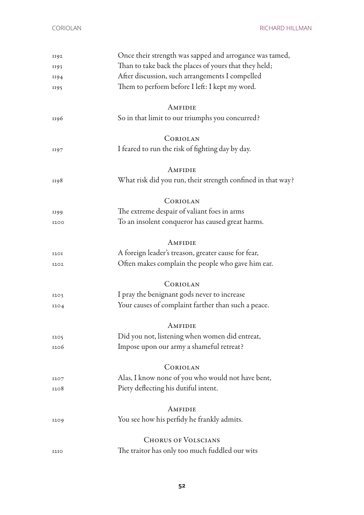| 1192 | Once their strength was sapped and arrogance was tamed,     |
|------|-------------------------------------------------------------|
| 1193 | Than to take back the places of yours that they held;       |
| 1194 | After discussion, such arrangements I compelled             |
| 1195 | Them to perform before I left: I kept my word.              |
|      | AMFIDIE                                                     |
| 1196 | So in that limit to our triumphs you concurred?             |
|      | CORIOLAN                                                    |
| 1197 | I feared to run the risk of fighting day by day.            |
|      | AMFIDIE                                                     |
| 1198 | What risk did you run, their strength confined in that way? |
|      | CORIOLAN                                                    |
| 1199 | The extreme despair of valiant foes in arms                 |
| 1200 | To an insolent conqueror has caused great harms.            |
|      | AMFIDIE                                                     |
| 1201 | A foreign leader's treason, greater cause for fear,         |
| 1202 | Often makes complain the people who gave him ear.           |
|      | CORIOLAN                                                    |
| 1203 | I pray the benignant gods never to increase                 |
| 1204 | Your causes of complaint farther than such a peace.         |
|      | AMFIDIE                                                     |
| 1205 | Did you not, listening when women did entreat,              |
| 1206 | Impose upon our army a shameful retreat?                    |
|      | CORIOLAN                                                    |
| 1207 | Alas, I know none of you who would not have bent,           |
| 1208 | Piety deflecting his dutiful intent.                        |
|      | AMFIDIE                                                     |
| 1209 | You see how his perfidy he frankly admits.                  |
|      | <b>CHORUS OF VOLSCIANS</b>                                  |
| 1210 | The traitor has only too much fuddled our wits              |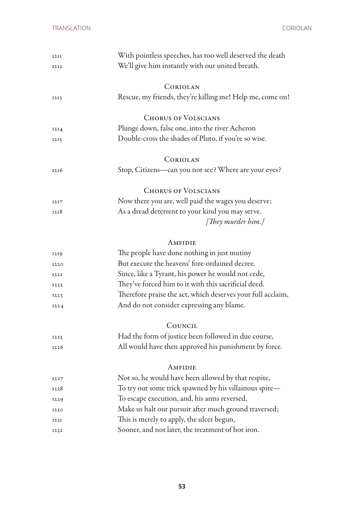| 1211        | With pointless speeches, has too well deserved the death    |
|-------------|-------------------------------------------------------------|
| 1212        | We'll give him instantly with our united breath.            |
|             |                                                             |
|             | CORIOLAN                                                    |
| 1213        | Rescue, my friends, they're killing me! Help me, come on!   |
|             |                                                             |
|             | <b>CHORUS OF VOLSCIANS</b>                                  |
| 12I4        | Plunge down, false one, into the river Acheron              |
| 1215        | Double-cross the shades of Pluto, if you're so wise.        |
|             | CORIOLAN                                                    |
| 1216        | Stop, Citizens-can you not see? Where are your eyes?        |
|             | <b>CHORUS OF VOLSCIANS</b>                                  |
| 1217        | Now there you are, well paid the wages you deserve;         |
| 1218        | As a dread deterrent to your kind you may serve.            |
|             | [They murder him.]                                          |
|             |                                                             |
|             | AMFIDIE                                                     |
| 1219        | The people have done nothing in just mutiny                 |
| 1220        | But execute the heavens' fore-ordained decree.              |
| <b>I22I</b> | Since, like a Tyrant, his power he would not cede,          |
| 1222        | They've forced him to it with this sacrificial deed.        |
| 1223        | Therefore praise the act, which deserves your full acclaim, |
| 1224        | And do not consider expressing any blame.                   |
|             | COUNCIL                                                     |
| 1225        | Had the form of justice been followed in due course,        |
| 1226        | All would have then approved his punishment by force.       |
|             |                                                             |
|             | AMFIDIE                                                     |
| 1227        | Not so, he would have been allowed by that respite,         |
| 1228        | To try out some trick spawned by his villainous spite-      |
| 1229        | To escape execution, and, his arms reversed,                |
| 1230        | Make us halt our pursuit after much ground traversed;       |
| 123I        | This is merely to apply, the ulcer begun,                   |
| 1232        | Sooner, and not later, the treatment of hot iron.           |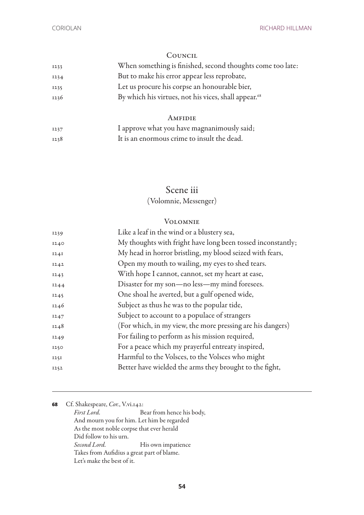#### **COUNCIL**

| 1233 | When something is finished, second thoughts come too late:       |
|------|------------------------------------------------------------------|
| 1234 | But to make his error appear less reprobate,                     |
| 1235 | Let us procure his corpse an honourable bier,                    |
| 1236 | By which his virtues, not his vices, shall appear. <sup>68</sup> |
|      | AMFIDIE                                                          |
|      |                                                                  |
| 1237 | I approve what you have magnanimously said;                      |

1238 It is an enormous crime to insult the dead.

## Scene iii

(Volomnie, Messenger)

#### Volomnie

| Like a leaf in the wind or a blustery sea,                  |
|-------------------------------------------------------------|
| My thoughts with fright have long been tossed inconstantly; |
| My head in horror bristling, my blood seized with fears,    |
| Open my mouth to wailing, my eyes to shed tears.            |
| With hope I cannot, cannot, set my heart at ease,           |
| Disaster for my son-no less-my mind foresees.               |
| One shoal he averted, but a gulf opened wide,               |
| Subject as thus he was to the popular tide,                 |
| Subject to account to a populace of strangers               |
| (For which, in my view, the more pressing are his dangers)  |
| For failing to perform as his mission required,             |
| For a peace which my prayerful entreaty inspired,           |
| Harmful to the Volsces, to the Volsces who might            |
| Better have wielded the arms they brought to the fight,     |
|                                                             |

**<sup>68</sup>** Cf. Shakespeare, *Cor.*, V.vi.142: *First Lord.* Bear from hence his body, And mourn you for him. Let him be regarded As the most noble corpse that ever herald Did follow to his urn. *Second Lord.* His own impatience Takes from Aufidius a great part of blame. Let's make the best of it.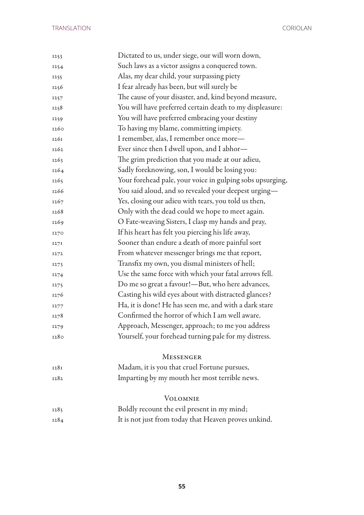| 1253 | Dictated to us, under siege, our will worn down,          |
|------|-----------------------------------------------------------|
| 1254 | Such laws as a victor assigns a conquered town.           |
| 1255 | Alas, my dear child, your surpassing piety                |
| 1256 | I fear already has been, but will surely be               |
| 1257 | The cause of your disaster, and, kind beyond measure,     |
| 1258 | You will have preferred certain death to my displeasure:  |
| 1259 | You will have preferred embracing your destiny            |
| 1260 | To having my blame, committing impiety.                   |
| 1261 | I remember, alas, I remember once more-                   |
| 1262 | Ever since then I dwell upon, and I abhor—                |
| 1263 | The grim prediction that you made at our adieu,           |
| 1264 | Sadly foreknowing, son, I would be losing you:            |
| 1265 | Your forehead pale, your voice in gulping sobs upsurging, |
| 1266 | You said aloud, and so revealed your deepest urging-      |
| 1267 | Yes, closing our adieu with tears, you told us then,      |
| 1268 | Only with the dead could we hope to meet again.           |
| 1269 | O Fate-weaving Sisters, I clasp my hands and pray,        |
| 1270 | If his heart has felt you piercing his life away,         |
| 1271 | Sooner than endure a death of more painful sort           |
| 1272 | From whatever messenger brings me that report,            |
| 1273 | Transfix my own, you dismal ministers of hell;            |
| 1274 | Use the same force with which your fatal arrows fell.     |
| 1275 | Do me so great a favour!-But, who here advances,          |
| 1276 | Casting his wild eyes about with distracted glances?      |
| 1277 | Ha, it is done! He has seen me, and with a dark stare     |
| 1278 | Confirmed the horror of which I am well aware.            |
| 1279 | Approach, Messenger, approach; to me you address          |
| 1280 | Yourself, your forehead turning pale for my distress.     |
|      |                                                           |
|      | <b>MESSENGER</b>                                          |
| 1281 | Madam, it is you that cruel Fortune pursues,              |
| 1282 | Imparting by my mouth her most terrible news.             |
|      | <b>VOLOMNIE</b>                                           |
| 1283 | Boldly recount the evil present in my mind;               |
| 1284 | It is not just from today that Heaven proves unkind.      |
|      |                                                           |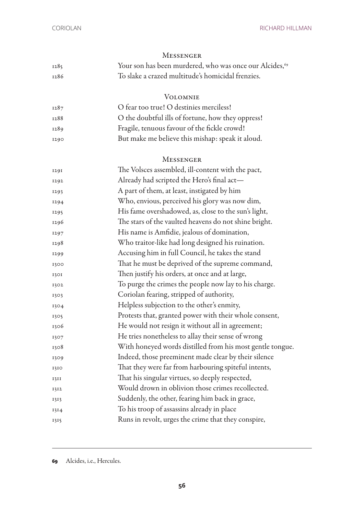| <b>MESSENGER</b> |                                                                     |
|------------------|---------------------------------------------------------------------|
| 1285             | Your son has been murdered, who was once our Alcides, <sup>69</sup> |
| 1286             | To slake a crazed multitude's homicidal frenzies.                   |
|                  | <b>VOLOMNIE</b>                                                     |
| 1287             | O fear too true! O destinies merciless!                             |
| 1288             | O the doubtful ills of fortune, how they oppress!                   |
| 1289             | Fragile, tenuous favour of the fickle crowd!                        |
| 1290             | But make me believe this mishap: speak it aloud.                    |
|                  | <b>MESSENGER</b>                                                    |
| 1291             | The Volsces assembled, ill-content with the pact,                   |
| 1292             | Already had scripted the Hero's final act—                          |
| 1293             | A part of them, at least, instigated by him                         |
| 1294             | Who, envious, perceived his glory was now dim,                      |
| 1295             | His fame overshadowed, as, close to the sun's light,                |
| 1296             | The stars of the vaulted heavens do not shine bright.               |
| 1297             | His name is Amfidie, jealous of domination,                         |
| 1298             | Who traitor-like had long designed his ruination.                   |
| 1299             | Accusing him in full Council, he takes the stand                    |
| 1300             | That he must be deprived of the supreme command,                    |
| 1301             | Then justify his orders, at once and at large,                      |
| 1302             | To purge the crimes the people now lay to his charge.               |
| 1303             | Coriolan fearing, stripped of authority,                            |
| 1304             | Helpless subjection to the other's enmity,                          |
| 1305             | Protests that, granted power with their whole consent,              |
| 1306             | He would not resign it without all in agreement;                    |
| 1307             | He tries nonetheless to allay their sense of wrong                  |
| 1308             | With honeyed words distilled from his most gentle tongue.           |
| 1309             | Indeed, those preeminent made clear by their silence                |
| 1310             | That they were far from harbouring spiteful intents,                |
| 1311             | That his singular virtues, so deeply respected,                     |
| 1312             | Would drown in oblivion those crimes recollected.                   |
| 1313             | Suddenly, the other, fearing him back in grace,                     |
| 1314             | To his troop of assassins already in place                          |
| 1315             | Runs in revolt, urges the crime that they conspire,                 |

Alcides, i.e., Hercules.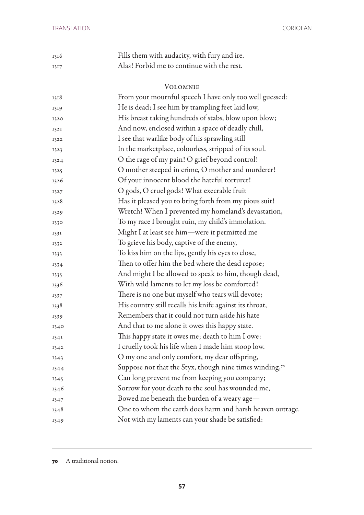| 1316 | Fills them with audacity, with fury and ire. |
|------|----------------------------------------------|
| 1317 | Alas! Forbid me to continue with the rest.   |

#### Volomnie

| 1318 | From your mournful speech I have only too well guessed:   |
|------|-----------------------------------------------------------|
| 1319 | He is dead; I see him by trampling feet laid low,         |
| 1320 | His breast taking hundreds of stabs, blow upon blow;      |
| 1321 | And now, enclosed within a space of deadly chill,         |
| 1322 | I see that warlike body of his sprawling still            |
| 1323 | In the marketplace, colourless, stripped of its soul.     |
| 1324 | O the rage of my pain! O grief beyond control!            |
| 1325 | O mother steeped in crime, O mother and murderer!         |
| 1326 | Of your innocent blood the hateful torturer!              |
| 1327 | O gods, O cruel gods! What execrable fruit                |
| 1328 | Has it pleased you to bring forth from my pious suit!     |
| 1329 | Wretch! When I prevented my homeland's devastation,       |
| 1330 | To my race I brought ruin, my child's immolation.         |
| 1331 | Might I at least see him-were it permitted me             |
| 1332 | To grieve his body, captive of the enemy,                 |
| 1333 | To kiss him on the lips, gently his eyes to close,        |
| 1334 | Then to offer him the bed where the dead repose;          |
| 1335 | And might I be allowed to speak to him, though dead,      |
| 1336 | With wild laments to let my loss be comforted!            |
| 1337 | There is no one but myself who tears will devote;         |
| 1338 | His country still recalls his knife against its throat,   |
| 1339 | Remembers that it could not turn aside his hate           |
| 1340 | And that to me alone it owes this happy state.            |
| 1341 | This happy state it owes me; death to him I owe:          |
| 1342 | I cruelly took his life when I made him stoop low.        |
| 1343 | O my one and only comfort, my dear offspring,             |
| 1344 | Suppose not that the Styx, though nine times winding,70   |
| 1345 | Can long prevent me from keeping you company;             |
| 1346 | Sorrow for your death to the soul has wounded me,         |
| 1347 | Bowed me beneath the burden of a weary age-               |
| 1348 | One to whom the earth does harm and harsh heaven outrage. |
| 1349 | Not with my laments can your shade be satisfied:          |
|      |                                                           |

A traditional notion.